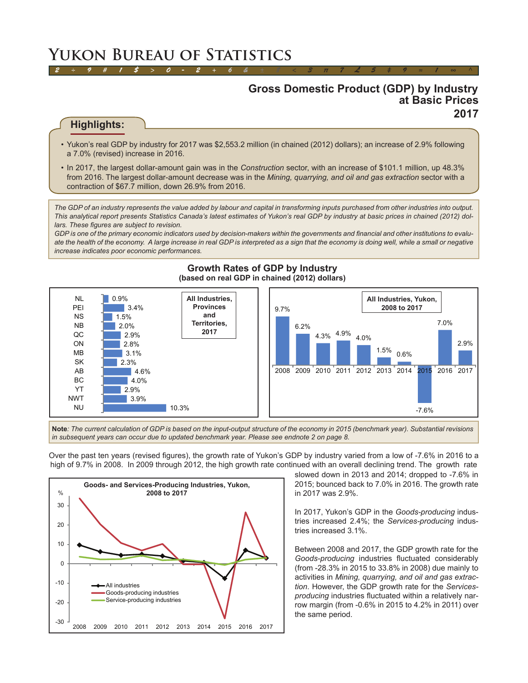# **Yukon Bureau of Statistics**

# **Gross Domestic Product (GDP) by Industry at Basic Prices 2017**

# **Highlights:**

• Yukon's real GDP by industry for 2017 was \$2,553.2 million (in chained (2012) dollars); an increase of 2.9% following a 7.0% (revised) increase in 2016.

*2 ÷ 9 # 1 \$ > 0 - 2 + 6 & ± 8 < 3 π 7 £ 5 ‡ 9 ≈ 1 ∞ ^*

• In 2017, the largest dollar-amount gain was in the *Construction* sector, with an increase of \$101.1 million, up 48.3% from 2016. The largest dollar-amount decrease was in the *Mining, quarrying, and oil and gas extraction* sector with a contraction of \$67.7 million, down 26.9% from 2016.

*The GDP of an industry represents the value added by labour and capital in transforming inputs purchased from other industries into output. This analytical report presents Statistics Canada's latest estimates of Yukon's real GDP by industry at basic prices in chained (2012) dollars. These figures are subject to revision.*

*GDP is one of the primary economic indicators used by decision-makers within the governments and financial and other institutions to evalu*ate the health of the economy. A large increase in real GDP is interpreted as a sign that the economy is doing well, while a small or negative *increase indicates poor economic performances.*



#### **Growth Rates of GDP by Industry (based on real GDP in chained (2012) dollars)**

**Note***: The current calculation of GDP is based on the input-output structure of the economy in 2015 (benchmark year). Substantial revisions in subsequent years can occur due to updated benchmark year. Please see endnote 2 on page 8.*

Over the past ten years (revised figures), the growth rate of Yukon's GDP by industry varied from a low of -7.6% in 2016 to a high of 9.7% in 2008. In 2009 through 2012, the high growth rate continued with an overall declining trend. The growth rate



slowed down in 2013 and 2014; dropped to -7.6% in 2015; bounced back to 7.0% in 2016. The growth rate in 2017 was 2.9%.

In 2017, Yukon's GDP in the *Goods-producing* industries increased 2.4%; the *Services-producing* industries increased 3.1%.

Between 2008 and 2017, the GDP growth rate for the *Goods-producing* industries fluctuated considerably (from -28.3% in 2015 to 33.8% in 2008) due mainly to activities in *Mining, quarrying, and oil and gas extraction*. However, the GDP growth rate for the *Servicesproducing* industries fluctuated within a relatively narrow margin (from -0.6% in 2015 to 4.2% in 2011) over the same period.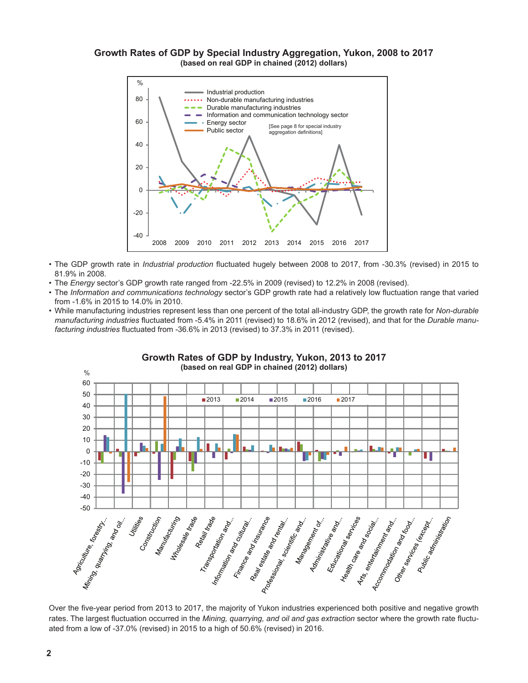#### **Growth Rates of GDP by Special Industry Aggregation, Yukon, 2008 to 2017 (based on real GDP in chained (2012) dollars)**



- The GDP growth rate in *Industrial production* fluctuated hugely between 2008 to 2017, from -30.3% (revised) in 2015 to 81.9% in 2008.
- The *Energy* sector's GDP growth rate ranged from -22.5% in 2009 (revised) to 12.2% in 2008 (revised).
- The *Information and communications technology* sector's GDP growth rate had a relatively low fluctuation range that varied from -1.6% in 2015 to 14.0% in 2010.
- While manufacturing industries represent less than one percent of the total all-industry GDP, the growth rate for *Non-durable manufacturing industries* fluctuated from -5.4% in 2011 (revised) to 18.6% in 2012 (revised), and that for the *Durable manufacturing industries* fluctuated from -36.6% in 2013 (revised) to 37.3% in 2011 (revised).



**Growth Rates of GDP by Industry, Yukon, 2013 to 2017 (based on real GDP in chained (2012) dollars)**

Over the five-year period from 2013 to 2017, the majority of Yukon industries experienced both positive and negative growth rates. The largest fluctuation occurred in the *Mining, quarrying, and oil and gas extraction* sector where the growth rate fluctuated from a low of -37.0% (revised) in 2015 to a high of 50.6% (revised) in 2016.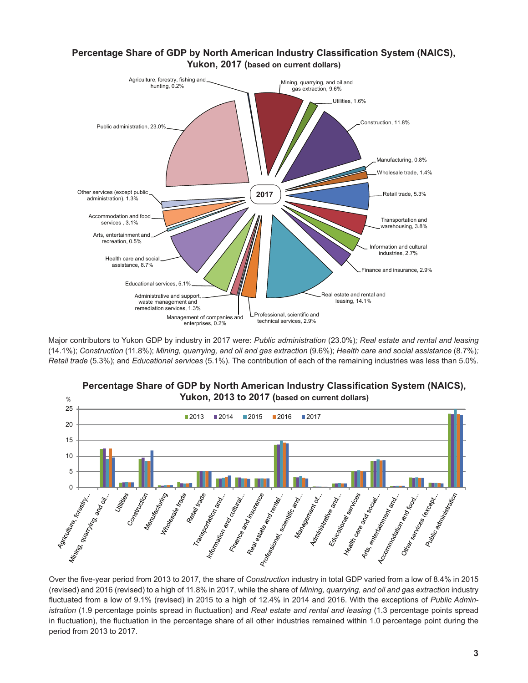## **Percentage Share of GDP by North American Industry Classification System (NAICS), Yukon, 2017 (based on current dollars)**



Major contributors to Yukon GDP by industry in 2017 were: *Public administration* (23.0%)*; Real estate and rental and leasing*  (14.1%); *Construction* (11.8%); *Mining, quarrying, and oil and gas extraction* (9.6%); *Health care and social assistance* (8.7%)*; Retail trade* (5.3%); and *Educational services* (5.1%)*.* The contribution of each of the remaining industries was less than 5.0%.



Over the five-year period from 2013 to 2017, the share of *Construction* industry in total GDP varied from a low of 8.4% in 2015 (revised) and 2016 (revised) to a high of 11.8% in 2017, while the share of *Mining, quarrying, and oil and gas extraction* industry fluctuated from a low of 9.1% (revised) in 2015 to a high of 12.4% in 2014 and 2016. With the exceptions of *Public Administration* (1.9 percentage points spread in fluctuation) and *Real estate and rental and leasing* (1.3 percentage points spread in fluctuation), the fluctuation in the percentage share of all other industries remained within 1.0 percentage point during the

period from 2013 to 2017.

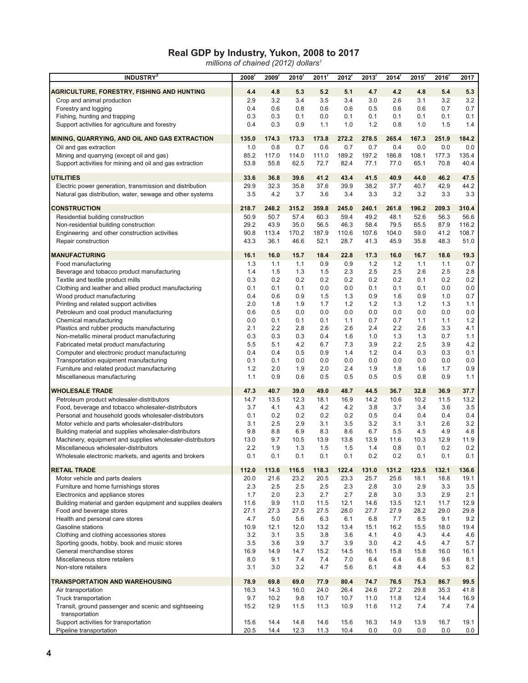#### **Real GDP by Industry, Yukon, 2008 to 2017**

*millions of chained (2012) dollars1*

| <b>INDUSTRY</b> <sup>2</sup>                                                                    | 2008         | 2009         | 2010 <sup>r</sup> | 2011         | 2012         | 2013'        | 2014 <sup>r</sup> | 2015 <sup>r</sup> | 2016         | 2017         |
|-------------------------------------------------------------------------------------------------|--------------|--------------|-------------------|--------------|--------------|--------------|-------------------|-------------------|--------------|--------------|
| <b>AGRICULTURE, FORESTRY, FISHING AND HUNTING</b>                                               | 4.4          | 4.8          | 5.3               | 5.2          | 5.1          | 4.7          | 4.2               | 4.8               | 5.4          | 5.3          |
| Crop and animal production                                                                      | 2.9          | 3.2          | 3.4               | 3.5          | 3.4          | 3.0          | 2.6               | 3.1               | 3.2          | 3.2          |
| Forestry and logging                                                                            | 0.4          | 0.6          | 0.8               | 0.6          | 0.6          | 0.5          | 0.6               | 0.6               | 0.7          | 0.7          |
| Fishing, hunting and trapping                                                                   | 0.3          | 0.3          | 0.1               | 0.0          | 0.1          | 0.1          | 0.1               | 0.1               | 0.1          | 0.1          |
| Support activities for agriculture and forestry                                                 | 0.4          | 0.3          | 0.9               | 1.1          | 1.0          | 1.2          | 0.8               | 1.0               | 1.5          | 1.4          |
| MINING, QUARRYING, AND OIL AND GAS EXTRACTION                                                   | 135.0        | 174.3        | 173.3             | 173.8        | 272.2        | 278.5        | 265.4             | 167.3             | 251.9        | 184.2        |
| Oil and gas extraction                                                                          | 1.0          | 0.8          | 0.7               | 0.6          | 0.7          | 0.7          | 0.4               | 0.0               | 0.0          | 0.0          |
| Mining and quarrying (except oil and gas)                                                       | 85.2         | 117.0        | 114.0             | 111.0        | 189.2        | 197.2        | 186.8             | 108.1             | 177.3        | 135.4        |
| Support activities for mining and oil and gas extraction                                        | 53.8         | 55.8         | 62.5              | 72.7         | 82.4         | 77.1         | 77.0              | 65.1              | 70.8         | 40.4         |
| <b>UTILITIES</b>                                                                                | 33.6         | 36.8         | 39.6              | 41.2         | 43.4         | 41.5         | 40.9              | 44.0              | 46.2         | 47.5         |
| Electric power generation, transmission and distribution                                        | 29.9         | 32.3         | 35.8              | 37.6         | 39.9         | 38.2         | 37.7              | 40.7              | 42.9         | 44.2         |
| Natural gas distribution, water, sewage and other systems                                       | 3.5          | 4.2          | 3.7               | 3.6          | 3.4          | 3.3          | 3.2               | 3.2               | 3.3          | 3.3          |
| <b>CONSTRUCTION</b>                                                                             | 218.7        | 248.2        | 315.2             | 359.8        | 245.0        | 240.1        | 261.8             | 196.2             | 209.3        | 310.4        |
| Residential building construction                                                               | 50.9         | 50.7         | 57.4              | 60.3         | 59.4         | 49.2         | 48.1              | 52.6              | 56.3         | 56.6         |
| Non-residential building construction                                                           | 29.2         | 43.9         | 35.0              | 56.5         | 46.3         | 58.4         | 79.5              | 65.5              | 87.9         | 116.2        |
| Engineering and other construction activities                                                   | 90.8         | 113.4        | 170.2             | 187.9        | 110.6        | 107.6        | 104.0             | 59.0              | 41.2         | 108.7        |
| Repair construction                                                                             | 43.3         | 36.1         | 46.6              | 52.1         | 28.7         | 41.3         | 45.9              | 35.8              | 48.3         | 51.0         |
| <b>MANUFACTURING</b>                                                                            | 16.1         | 16.0         | 15.7              | 18.4         | 22.8         | 17.3         | 16.0              | 16.7              | 18.6         | 19.3         |
| Food manufacturing                                                                              | 1.3          | 1.1          | 1.1               | 0.9          | 0.9          | 1.2          | 1.2               | 1.1               | 1.1          | 0.7          |
| Beverage and tobacco product manufacturing                                                      | 1.4          | 1.5          | 1.3               | 1.5          | 2.3          | 2.5          | 2.5               | 2.6               | 2.5          | 2.8          |
| Textile and textile product mills<br>Clothing and leather and allied product manufacturing      | 0.3<br>0.1   | 0.2<br>0.1   | 0.2<br>0.1        | 0.2<br>0.0   | 0.2<br>0.0   | 0.2<br>0.1   | 0.2<br>0.1        | 0.1<br>0.1        | 0.2<br>0.0   | 0.2<br>0.0   |
| Wood product manufacturing                                                                      | 0.4          | 0.6          | 0.9               | 1.5          | 1.3          | 0.9          | 1.6               | 0.9               | 1.0          | 0.7          |
| Printing and related support activities                                                         | 2.0          | 1.8          | 1.9               | 1.7          | 1.2          | 1.2          | 1.3               | 1.2               | 1.3          | 1.1          |
| Petroleum and coal product manufacturing                                                        | 0.6          | 0.5          | 0.0               | 0.0          | 0.0          | 0.0          | 0.0               | 0.0               | 0.0          | 0.0          |
| Chemical manufacturing                                                                          | 0.0          | 0.1          | 0.1               | 0.1          | 1.1          | 0.7          | 0.7               | 1.1               | 1.1          | $1.2$        |
| Plastics and rubber products manufacturing                                                      | 2.1          | 2.2          | 2.8               | 2.6          | 2.6          | 2.4          | 2.2               | 2.6               | 3.3          | 4.1          |
| Non-metallic mineral product manufacturing                                                      | 0.3          | 0.3          | 0.3               | 0.4          | 1.6          | 1.0          | 1.3               | 1.3               | 0.7          | 1.1          |
| Fabricated metal product manufacturing                                                          | 5.5          | 5.1          | 4.2               | 6.7          | 7.3          | 3.9          | 2.2               | 2.5               | 3.9          | 4.2          |
| Computer and electronic product manufacturing                                                   | 0.4          | 0.4          | 0.5               | 0.9          | 1.4          | 1.2          | 0.4               | 0.3               | 0.3          | 0.1          |
| Transportation equipment manufacturing                                                          | 0.1          | 0.1          | 0.0               | 0.0          | 0.0          | 0.0          | 0.0               | 0.0               | 0.0          | 0.0          |
| Furniture and related product manufacturing<br>Miscellaneous manufacturing                      | 1.2<br>1.1   | 2.0<br>0.9   | 1.9<br>0.6        | 2.0<br>0.5   | 2.4<br>0.5   | 1.9<br>0.5   | 1.8<br>0.5        | 1.6<br>0.8        | 1.7<br>0.9   | 0.9<br>1.1   |
|                                                                                                 |              |              |                   |              |              |              |                   |                   |              |              |
| <b>WHOLESALE TRADE</b><br>Petroleum product wholesaler-distributors                             | 47.3<br>14.7 | 40.7<br>13.5 | 39.0<br>12.3      | 49.0<br>18.1 | 48.7<br>16.9 | 44.5<br>14.2 | 36.7<br>10.6      | 32.8<br>10.2      | 36.9<br>11.5 | 37.7<br>13.2 |
| Food, beverage and tobacco wholesaler-distributors                                              | 3.7          | 4.1          | 4.3               | 4.2          | 4.2          | 3.8          | 3.7               | 3.4               | 3.6          | 3.5          |
| Personal and household goods wholesaler-distributors                                            | 0.1          | 0.2          | 0.2               | 0.2          | 0.2          | 0.5          | 0.4               | 0.4               | 0.4          | 0.4          |
| Motor vehicle and parts wholesaler-distributors                                                 | 3.1          | 2.5          | 2.9               | 3.1          | 3.5          | 3.2          | 3.1               | 3.1               | 2.6          | 3.2          |
| Building material and supplies wholesaler-distributors                                          | 9.8          | 8.8          | 6.9               | 8.3          | 8.6          | 6.7          | 5.5               | 4.5               | 4.9          | 4.8          |
| Machinery, equipment and supplies wholesaler-distributors                                       | 13.0         | 9.7          | 10.5              | 13.9         | 13.8         | 13.9         | 11.6              | 10.3              | 12.9         | 11.9         |
| Miscellaneous wholesaler-distributors                                                           | 2.2          | 1.9          | 1.3               | 1.5          | 1.5          | 1.4          | 0.8               | 0.1               | 0.2          | 0.2          |
| Wholesale electronic markets, and agents and brokers                                            | 0.1          | 0.1          | 0.1               | 0.1          | 0.1          | 0.2          | 0.2               | 0.1               | 0.1          | 0.1          |
| <b>RETAIL TRADE</b>                                                                             | 112.0        | 113.6        | 116.5             | 118.3        | 122.4        | 131.0        | 131.2             | 123.5             | 132.1        | 136.6        |
| Motor vehicle and parts dealers                                                                 | 20.0         | 21.6         | 23.2              | 20.5         | 23.3         | 25.7         | 25.6              | 18.1              | 18.8         | 19.1         |
| Furniture and home furnishings stores                                                           | 2.3          | 2.5          | 2.5               | 2.5          | 2.3          | 2.8          | 3.0               | 2.9               | 3.3          | 3.5          |
| Electronics and appliance stores<br>Building material and garden equipment and supplies dealers | 1.7<br>11.6  | 2.0<br>9.9   | 2.3               | 2.7<br>11.5  | 2.7<br>12.1  | 2.8          | 3.0               | 3.3<br>12.1       | 2.9<br>11.7  | 2.1<br>12.9  |
| Food and beverage stores                                                                        | 27.1         | 27.3         | 11.0<br>27.5      | 27.5         | 28.0         | 14.6<br>27.7 | 13.5<br>27.9      | 28.2              | 29.0         | 29.8         |
| Health and personal care stores                                                                 | 4.7          | 5.0          | 5.6               | 6.3          | 6.1          | 6.8          | 7.7               | 8.5               | 9.1          | 9.2          |
| Gasoline stations                                                                               | 10.9         | 12.1         | 12.0              | 13.2         | 13.4         | 15.1         | 16.2              | 15.5              | 18.0         | 19.4         |
| Clothing and clothing accessories stores                                                        | 3.2          | 3.1          | 3.5               | 3.8          | 3.6          | 4.1          | 4.0               | 4.3               | 4.4          | 4.6          |
| Sporting goods, hobby, book and music stores                                                    | 3.5          | 3.6          | 3.9               | 3.7          | 3.9          | 3.0          | 4.2               | 4.5               | 4.7          | 5.7          |
| General merchandise stores                                                                      | 16.9         | 14.9         | 14.7              | 15.2         | 14.5         | 16.1         | 15.8              | 15.8              | 16.0         | 16.1         |
| Miscellaneous store retailers                                                                   | 8.0          | 9.1          | 7.4               | 7.4          | 7.0          | 6.4          | 6.4               | 6.8               | 9.6          | 8.1          |
| Non-store retailers                                                                             | 3.1          | 3.0          | 3.2               | 4.7          | 5.6          | 6.1          | 4.8               | 4.4               | 5.3          | 6.2          |
| TRANSPORTATION AND WAREHOUSING                                                                  | 78.9         | 69.8         | 69.0              | 77.9         | 80.4         | 74.7         | 76.5              | 75.3              | 86.7         | 99.5         |
| Air transportation                                                                              | 16.3         | 14.3         | 16.0              | 24.0         | 26.4         | 24.6         | 27.2              | 29.8              | 35.3         | 41.8         |
| Truck transportation                                                                            | 9.7          | 10.2         | 9.8               | 10.7         | 10.7         | 11.0         | 11.8              | 12.4              | 14.4         | 16.9         |
| Transit, ground passenger and scenic and sightseeing<br>transportation                          | 15.2         | 12.9         | 11.5              | 11.3         | 10.9         | 11.6         | 11.2              | 7.4               | 7.4          | 7.4          |
| Support activities for transportation                                                           | 15.6         | 14.4         | 14.8              | 14.6         | 15.6         | 16.3         | 14.9              | 13.9              | 16.7         | 19.1         |
| Pipeline transportation                                                                         | 20.5         | 14.4         | 12.3              | 11.3         | 10.4         | 0.0          | 0.0               | 0.0               | 0.0          | 0.0          |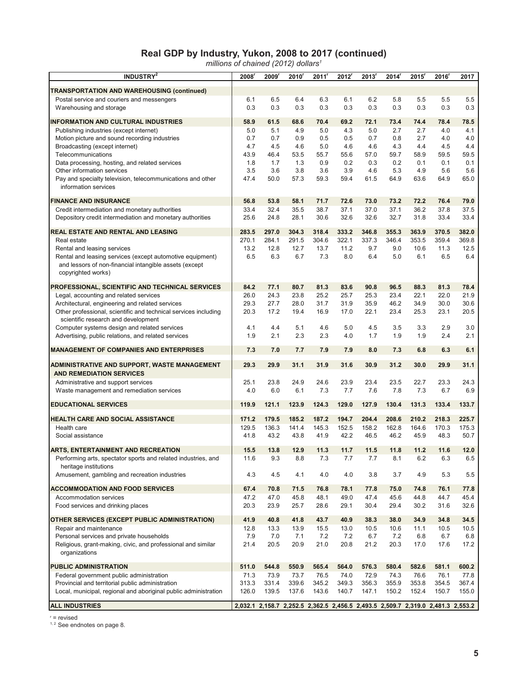#### **Real GDP by Industry, Yukon, 2008 to 2017 (continued)**

*millions of chained (2012) dollars1*

| TRANSPORTATION AND WAREHOUSING (continued)<br>6.2<br>5.8<br>5.5<br>5.5<br>Postal service and couriers and messengers<br>6.1<br>6.5<br>6.4<br>6.3<br>6.1<br>5.5<br>0.3<br>0.3<br>0.3<br>0.3<br>0.3<br>0.3<br>0.3<br>0.3<br>0.3<br>0.3<br>Warehousing and storage<br>78.5<br><b>INFORMATION AND CULTURAL INDUSTRIES</b><br>58.9<br>61.5<br>68.6<br>70.4<br>69.2<br>72.1<br>73.4<br>74.4<br>78.4<br>5.0<br>5.1<br>4.9<br>5.0<br>4.3<br>5.0<br>2.7<br>2.7<br>4.0<br>4.1<br>Publishing industries (except internet)<br>0.7<br>0.7<br>0.9<br>0.5<br>0.5<br>0.7<br>0.8<br>2.7<br>4.0<br>4.0<br>Motion picture and sound recording industries<br>4.7<br>4.5<br>4.6<br>5.0<br>4.6<br>4.4<br>4.5<br>4.4<br>Broadcasting (except internet)<br>4.6<br>4.3<br>59.5<br>43.9<br>46.4<br>53.5<br>55.7<br>55.6<br>59.7<br>58.9<br>59.5<br>Telecommunications<br>57.0<br>0.9<br>0.3<br>0.1<br>0.1<br>Data processing, hosting, and related services<br>1.8<br>1.7<br>1.3<br>0.2<br>0.2<br>0.1<br>3.5<br>3.6<br>3.8<br>3.6<br>3.9<br>4.6<br>5.3<br>4.9<br>5.6<br>5.6<br>Other information services<br>47.4<br>50.0<br>57.3<br>59.3<br>59.4<br>61.5<br>64.9<br>63.6<br>64.9<br>65.0<br>Pay and specialty television, telecommunications and other<br>information services<br><b>FINANCE AND INSURANCE</b><br>56.8<br>53.8<br>58.1<br>71.7<br>73.2<br>72.2<br>76.4<br>79.0<br>72.6<br>73.0<br>35.5<br>33.4<br>32.4<br>38.7<br>37.1<br>37.0<br>37.1<br>36.2<br>37.8<br>37.5<br>Credit intermediation and monetary authorities<br>25.6<br>24.8<br>28.1<br>30.6<br>32.6<br>32.6<br>32.7<br>31.8<br>33.4<br>33.4<br>Depository credit intermediation and monetary authorities<br>REAL ESTATE AND RENTAL AND LEASING<br>283.5<br>297.0<br>304.3<br>318.4<br>333.2<br>346.8<br>355.3<br>363.9<br>370.5<br>382.0<br>322.1<br>337.3<br>369.8<br>270.1<br>284.1<br>291.5<br>304.6<br>346.4<br>353.5<br>359.4<br>Real estate<br>13.2<br>12.8<br>12.7<br>13.7<br>11.2<br>9.7<br>9.0<br>11.3<br>12.5<br>Rental and leasing services<br>10.6<br>6.5<br>6.3<br>6.7<br>7.3<br>8.0<br>6.4<br>5.0<br>6.1<br>6.5<br>6.4<br>Rental and leasing services (except automotive equipment)<br>and lessors of non-financial intangible assets (except<br>copyrighted works)<br>84.2<br>77.1<br>80.7<br>81.3<br>90.8<br>96.5<br>78.4<br><b>PROFESSIONAL, SCIENTIFIC AND TECHNICAL SERVICES</b><br>83.6<br>88.3<br>81.3<br>26.0<br>24.3<br>23.8<br>25.2<br>25.7<br>25.3<br>23.4<br>22.1<br>22.0<br>21.9<br>Legal, accounting and related services<br>27.7<br>46.2<br>30.6<br>29.3<br>28.0<br>31.7<br>31.9<br>35.9<br>34.9<br>30.0<br>Architectural, engineering and related services<br>Other professional, scientific and technical services including<br>20.3<br>17.2<br>22.1<br>20.5<br>19.4<br>16.9<br>17.0<br>23.4<br>25.3<br>23.1<br>scientific research and development<br>4.1<br>5.1<br>4.6<br>5.0<br>4.5<br>3.5<br>3.3<br>2.9<br>3.0<br>Computer systems design and related services<br>4.4<br>2.4<br>2.1<br>1.9<br>2.1<br>2.3<br>2.3<br>4.0<br>1.9<br>Advertising, public relations, and related services<br>1.7<br>1.9<br><b>MANAGEMENT OF COMPANIES AND ENTERPRISES</b><br>7.3<br>7.0<br>7.9<br>8.0<br>7.3<br>6.8<br>6.3<br>6.1<br>7.7<br>7.9<br>31.1<br>29.3<br>29.9<br>31.1<br>31.9<br>31.6<br>30.9<br>31.2<br>30.0<br>29.9<br><b>ADMINISTRATIVE AND SUPPORT, WASTE MANAGEMENT</b><br><b>AND REMEDIATION SERVICES</b><br>25.1<br>23.8<br>24.9<br>24.6<br>23.9<br>23.4<br>23.5<br>22.7<br>23.3<br>24.3<br>Administrative and support services<br>7.7<br>4.0<br>6.0<br>6.1<br>7.3<br>7.6<br>7.8<br>7.3<br>6.7<br>6.9<br>Waste management and remediation services<br>121.1<br>130.4<br>133.7<br><b>EDUCATIONAL SERVICES</b><br>119.9<br>123.9<br>124.3<br>129.0<br>127.9<br>131.3<br>133.4<br>HEALTH CARE AND SOCIAL ASSISTANCE<br>171.2<br>179.5<br>185.2<br>187.2<br>194.7<br>204.4<br>208.6<br>210.2<br>218.3<br>225.7<br>129.5<br>136.3<br>141.4<br>145.3<br>152.5<br>158.2<br>162.8<br>164.6<br>170.3<br>175.3<br>Health care<br>41.8<br>43.2<br>42.2<br>46.5<br>50.7<br>43.8<br>41.9<br>46.2<br>45.9<br>48.3<br>Social assistance<br>15.5<br>13.8<br>12.9<br>11.3<br>11.7<br>11.5<br>11.8<br>11.2<br>11.6<br>12.0<br><b>ARTS, ENTERTAINMENT AND RECREATION</b><br>9.3<br>8.8<br>7.3<br>$7.7\,$<br>7.7<br>8.1<br>$6.2\,$<br>6.3<br>$6.5\,$<br>Performing arts, spectator sports and related industries, and<br>11.6<br>heritage institutions<br>5.5<br>4.3<br>4.5<br>4.1<br>4.0<br>4.0<br>3.8<br>4.9<br>5.3<br>Amusement, gambling and recreation industries<br>3.7<br><b>ACCOMMODATION AND FOOD SERVICES</b><br>67.4<br>70.8<br>71.5<br>76.8<br>78.1<br>77.8<br>75.0<br>74.8<br>76.1<br>77.8<br>47.2<br>47.0<br>45.8<br>48.1<br>47.4<br>45.6<br>44.8<br>44.7<br>45.4<br>Accommodation services<br>49.0<br>20.3<br>23.9<br>25.7<br>30.4<br>30.2<br>31.6<br>32.6<br>Food services and drinking places<br>28.6<br>29.1<br>29.4<br>OTHER SERVICES (EXCEPT PUBLIC ADMINISTRATION)<br>41.9<br>40.8<br>41.8<br>38.3<br>38.0<br>34.5<br>43.7<br>40.9<br>34.9<br>34.8<br>12.8<br>13.3<br>13.9<br>15.5<br>13.0<br>10.5<br>11.1<br>10.5<br>10.5<br>Repair and maintenance<br>10.6<br>6.7<br>6.8<br>Personal services and private households<br>7.9<br>7.0<br>7.1<br>7.2<br>7.2<br>6.7<br>7.2<br>6.8<br>Religious, grant-making, civic, and professional and similar<br>21.4<br>20.5<br>20.9<br>21.0<br>20.8<br>21.2<br>17.2<br>20.3<br>17.0<br>17.6<br>organizations<br><b>PUBLIC ADMINISTRATION</b><br>511.0<br>544.8<br>550.9<br>565.4<br>564.0<br>576.3<br>580.4<br>582.6<br>581.1<br>600.2<br>71.3<br>73.9<br>73.7<br>76.5<br>74.0<br>72.9<br>74.3<br>76.6<br>76.1<br>77.8<br>Federal government public administration<br>339.6<br>Provincial and territorial public administration<br>313.3<br>331.4<br>345.2<br>349.3<br>356.3<br>355.9<br>353.8<br>354.5<br>367.4<br>Local, municipal, regional and aboriginal public administration<br>126.0<br>139.5<br>137.6<br>143.6<br>140.7<br>147.1<br>150.2<br>152.4<br>150.7<br>155.0 | <b>INDUSTRY<sup>2</sup></b> | 2008 | 2009 | 2010 | 2011 | 2012 | 2013 | 2014 | 2015 | 2016 <sup>r</sup> | 2017 |
|----------------------------------------------------------------------------------------------------------------------------------------------------------------------------------------------------------------------------------------------------------------------------------------------------------------------------------------------------------------------------------------------------------------------------------------------------------------------------------------------------------------------------------------------------------------------------------------------------------------------------------------------------------------------------------------------------------------------------------------------------------------------------------------------------------------------------------------------------------------------------------------------------------------------------------------------------------------------------------------------------------------------------------------------------------------------------------------------------------------------------------------------------------------------------------------------------------------------------------------------------------------------------------------------------------------------------------------------------------------------------------------------------------------------------------------------------------------------------------------------------------------------------------------------------------------------------------------------------------------------------------------------------------------------------------------------------------------------------------------------------------------------------------------------------------------------------------------------------------------------------------------------------------------------------------------------------------------------------------------------------------------------------------------------------------------------------------------------------------------------------------------------------------------------------------------------------------------------------------------------------------------------------------------------------------------------------------------------------------------------------------------------------------------------------------------------------------------------------------------------------------------------------------------------------------------------------------------------------------------------------------------------------------------------------------------------------------------------------------------------------------------------------------------------------------------------------------------------------------------------------------------------------------------------------------------------------------------------------------------------------------------------------------------------------------------------------------------------------------------------------------------------------------------------------------------------------------------------------------------------------------------------------------------------------------------------------------------------------------------------------------------------------------------------------------------------------------------------------------------------------------------------------------------------------------------------------------------------------------------------------------------------------------------------------------------------------------------------------------------------------------------------------------------------------------------------------------------------------------------------------------------------------------------------------------------------------------------------------------------------------------------------------------------------------------------------------------------------------------------------------------------------------------------------------------------------------------------------------------------------------------------------------------------------------------------------------------------------------------------------------------------------------------------------------------------------------------------------------------------------------------------------------------------------------------------------------------------------------------------------------------------------------------------------------------------------------------------------------------------------------------------------------------------------------------------------------------------------------------------------------------------------------------------------------------------------------------------------------------------------------------------------------------------------------------------------------------------------------------------------------------------------------------------------------------------------------------------------------------------------------------------------------------------------------------------------------------------------------------------------------------------------------------------------------------------------------------------------------------------------------------------------------------------------------------------------------------------------------------------------------------------------------------------------------------------------------------------------------------------------------------------------------------------------------------------------------------------------------------------------------------------------------------------------------------------------------------------------------------------------|-----------------------------|------|------|------|------|------|------|------|------|-------------------|------|
|                                                                                                                                                                                                                                                                                                                                                                                                                                                                                                                                                                                                                                                                                                                                                                                                                                                                                                                                                                                                                                                                                                                                                                                                                                                                                                                                                                                                                                                                                                                                                                                                                                                                                                                                                                                                                                                                                                                                                                                                                                                                                                                                                                                                                                                                                                                                                                                                                                                                                                                                                                                                                                                                                                                                                                                                                                                                                                                                                                                                                                                                                                                                                                                                                                                                                                                                                                                                                                                                                                                                                                                                                                                                                                                                                                                                                                                                                                                                                                                                                                                                                                                                                                                                                                                                                                                                                                                                                                                                                                                                                                                                                                                                                                                                                                                                                                                                                                                                                                                                                                                                                                                                                                                                                                                                                                                                                                                                                                                                                                                                                                                                                                                                                                                                                                                                                                                                                                                                                                                              |                             |      |      |      |      |      |      |      |      |                   |      |
|                                                                                                                                                                                                                                                                                                                                                                                                                                                                                                                                                                                                                                                                                                                                                                                                                                                                                                                                                                                                                                                                                                                                                                                                                                                                                                                                                                                                                                                                                                                                                                                                                                                                                                                                                                                                                                                                                                                                                                                                                                                                                                                                                                                                                                                                                                                                                                                                                                                                                                                                                                                                                                                                                                                                                                                                                                                                                                                                                                                                                                                                                                                                                                                                                                                                                                                                                                                                                                                                                                                                                                                                                                                                                                                                                                                                                                                                                                                                                                                                                                                                                                                                                                                                                                                                                                                                                                                                                                                                                                                                                                                                                                                                                                                                                                                                                                                                                                                                                                                                                                                                                                                                                                                                                                                                                                                                                                                                                                                                                                                                                                                                                                                                                                                                                                                                                                                                                                                                                                                              |                             |      |      |      |      |      |      |      |      |                   |      |
|                                                                                                                                                                                                                                                                                                                                                                                                                                                                                                                                                                                                                                                                                                                                                                                                                                                                                                                                                                                                                                                                                                                                                                                                                                                                                                                                                                                                                                                                                                                                                                                                                                                                                                                                                                                                                                                                                                                                                                                                                                                                                                                                                                                                                                                                                                                                                                                                                                                                                                                                                                                                                                                                                                                                                                                                                                                                                                                                                                                                                                                                                                                                                                                                                                                                                                                                                                                                                                                                                                                                                                                                                                                                                                                                                                                                                                                                                                                                                                                                                                                                                                                                                                                                                                                                                                                                                                                                                                                                                                                                                                                                                                                                                                                                                                                                                                                                                                                                                                                                                                                                                                                                                                                                                                                                                                                                                                                                                                                                                                                                                                                                                                                                                                                                                                                                                                                                                                                                                                                              |                             |      |      |      |      |      |      |      |      |                   |      |
|                                                                                                                                                                                                                                                                                                                                                                                                                                                                                                                                                                                                                                                                                                                                                                                                                                                                                                                                                                                                                                                                                                                                                                                                                                                                                                                                                                                                                                                                                                                                                                                                                                                                                                                                                                                                                                                                                                                                                                                                                                                                                                                                                                                                                                                                                                                                                                                                                                                                                                                                                                                                                                                                                                                                                                                                                                                                                                                                                                                                                                                                                                                                                                                                                                                                                                                                                                                                                                                                                                                                                                                                                                                                                                                                                                                                                                                                                                                                                                                                                                                                                                                                                                                                                                                                                                                                                                                                                                                                                                                                                                                                                                                                                                                                                                                                                                                                                                                                                                                                                                                                                                                                                                                                                                                                                                                                                                                                                                                                                                                                                                                                                                                                                                                                                                                                                                                                                                                                                                                              |                             |      |      |      |      |      |      |      |      |                   |      |
|                                                                                                                                                                                                                                                                                                                                                                                                                                                                                                                                                                                                                                                                                                                                                                                                                                                                                                                                                                                                                                                                                                                                                                                                                                                                                                                                                                                                                                                                                                                                                                                                                                                                                                                                                                                                                                                                                                                                                                                                                                                                                                                                                                                                                                                                                                                                                                                                                                                                                                                                                                                                                                                                                                                                                                                                                                                                                                                                                                                                                                                                                                                                                                                                                                                                                                                                                                                                                                                                                                                                                                                                                                                                                                                                                                                                                                                                                                                                                                                                                                                                                                                                                                                                                                                                                                                                                                                                                                                                                                                                                                                                                                                                                                                                                                                                                                                                                                                                                                                                                                                                                                                                                                                                                                                                                                                                                                                                                                                                                                                                                                                                                                                                                                                                                                                                                                                                                                                                                                                              |                             |      |      |      |      |      |      |      |      |                   |      |
|                                                                                                                                                                                                                                                                                                                                                                                                                                                                                                                                                                                                                                                                                                                                                                                                                                                                                                                                                                                                                                                                                                                                                                                                                                                                                                                                                                                                                                                                                                                                                                                                                                                                                                                                                                                                                                                                                                                                                                                                                                                                                                                                                                                                                                                                                                                                                                                                                                                                                                                                                                                                                                                                                                                                                                                                                                                                                                                                                                                                                                                                                                                                                                                                                                                                                                                                                                                                                                                                                                                                                                                                                                                                                                                                                                                                                                                                                                                                                                                                                                                                                                                                                                                                                                                                                                                                                                                                                                                                                                                                                                                                                                                                                                                                                                                                                                                                                                                                                                                                                                                                                                                                                                                                                                                                                                                                                                                                                                                                                                                                                                                                                                                                                                                                                                                                                                                                                                                                                                                              |                             |      |      |      |      |      |      |      |      |                   |      |
|                                                                                                                                                                                                                                                                                                                                                                                                                                                                                                                                                                                                                                                                                                                                                                                                                                                                                                                                                                                                                                                                                                                                                                                                                                                                                                                                                                                                                                                                                                                                                                                                                                                                                                                                                                                                                                                                                                                                                                                                                                                                                                                                                                                                                                                                                                                                                                                                                                                                                                                                                                                                                                                                                                                                                                                                                                                                                                                                                                                                                                                                                                                                                                                                                                                                                                                                                                                                                                                                                                                                                                                                                                                                                                                                                                                                                                                                                                                                                                                                                                                                                                                                                                                                                                                                                                                                                                                                                                                                                                                                                                                                                                                                                                                                                                                                                                                                                                                                                                                                                                                                                                                                                                                                                                                                                                                                                                                                                                                                                                                                                                                                                                                                                                                                                                                                                                                                                                                                                                                              |                             |      |      |      |      |      |      |      |      |                   |      |
|                                                                                                                                                                                                                                                                                                                                                                                                                                                                                                                                                                                                                                                                                                                                                                                                                                                                                                                                                                                                                                                                                                                                                                                                                                                                                                                                                                                                                                                                                                                                                                                                                                                                                                                                                                                                                                                                                                                                                                                                                                                                                                                                                                                                                                                                                                                                                                                                                                                                                                                                                                                                                                                                                                                                                                                                                                                                                                                                                                                                                                                                                                                                                                                                                                                                                                                                                                                                                                                                                                                                                                                                                                                                                                                                                                                                                                                                                                                                                                                                                                                                                                                                                                                                                                                                                                                                                                                                                                                                                                                                                                                                                                                                                                                                                                                                                                                                                                                                                                                                                                                                                                                                                                                                                                                                                                                                                                                                                                                                                                                                                                                                                                                                                                                                                                                                                                                                                                                                                                                              |                             |      |      |      |      |      |      |      |      |                   |      |
|                                                                                                                                                                                                                                                                                                                                                                                                                                                                                                                                                                                                                                                                                                                                                                                                                                                                                                                                                                                                                                                                                                                                                                                                                                                                                                                                                                                                                                                                                                                                                                                                                                                                                                                                                                                                                                                                                                                                                                                                                                                                                                                                                                                                                                                                                                                                                                                                                                                                                                                                                                                                                                                                                                                                                                                                                                                                                                                                                                                                                                                                                                                                                                                                                                                                                                                                                                                                                                                                                                                                                                                                                                                                                                                                                                                                                                                                                                                                                                                                                                                                                                                                                                                                                                                                                                                                                                                                                                                                                                                                                                                                                                                                                                                                                                                                                                                                                                                                                                                                                                                                                                                                                                                                                                                                                                                                                                                                                                                                                                                                                                                                                                                                                                                                                                                                                                                                                                                                                                                              |                             |      |      |      |      |      |      |      |      |                   |      |
|                                                                                                                                                                                                                                                                                                                                                                                                                                                                                                                                                                                                                                                                                                                                                                                                                                                                                                                                                                                                                                                                                                                                                                                                                                                                                                                                                                                                                                                                                                                                                                                                                                                                                                                                                                                                                                                                                                                                                                                                                                                                                                                                                                                                                                                                                                                                                                                                                                                                                                                                                                                                                                                                                                                                                                                                                                                                                                                                                                                                                                                                                                                                                                                                                                                                                                                                                                                                                                                                                                                                                                                                                                                                                                                                                                                                                                                                                                                                                                                                                                                                                                                                                                                                                                                                                                                                                                                                                                                                                                                                                                                                                                                                                                                                                                                                                                                                                                                                                                                                                                                                                                                                                                                                                                                                                                                                                                                                                                                                                                                                                                                                                                                                                                                                                                                                                                                                                                                                                                                              |                             |      |      |      |      |      |      |      |      |                   |      |
|                                                                                                                                                                                                                                                                                                                                                                                                                                                                                                                                                                                                                                                                                                                                                                                                                                                                                                                                                                                                                                                                                                                                                                                                                                                                                                                                                                                                                                                                                                                                                                                                                                                                                                                                                                                                                                                                                                                                                                                                                                                                                                                                                                                                                                                                                                                                                                                                                                                                                                                                                                                                                                                                                                                                                                                                                                                                                                                                                                                                                                                                                                                                                                                                                                                                                                                                                                                                                                                                                                                                                                                                                                                                                                                                                                                                                                                                                                                                                                                                                                                                                                                                                                                                                                                                                                                                                                                                                                                                                                                                                                                                                                                                                                                                                                                                                                                                                                                                                                                                                                                                                                                                                                                                                                                                                                                                                                                                                                                                                                                                                                                                                                                                                                                                                                                                                                                                                                                                                                                              |                             |      |      |      |      |      |      |      |      |                   |      |
|                                                                                                                                                                                                                                                                                                                                                                                                                                                                                                                                                                                                                                                                                                                                                                                                                                                                                                                                                                                                                                                                                                                                                                                                                                                                                                                                                                                                                                                                                                                                                                                                                                                                                                                                                                                                                                                                                                                                                                                                                                                                                                                                                                                                                                                                                                                                                                                                                                                                                                                                                                                                                                                                                                                                                                                                                                                                                                                                                                                                                                                                                                                                                                                                                                                                                                                                                                                                                                                                                                                                                                                                                                                                                                                                                                                                                                                                                                                                                                                                                                                                                                                                                                                                                                                                                                                                                                                                                                                                                                                                                                                                                                                                                                                                                                                                                                                                                                                                                                                                                                                                                                                                                                                                                                                                                                                                                                                                                                                                                                                                                                                                                                                                                                                                                                                                                                                                                                                                                                                              |                             |      |      |      |      |      |      |      |      |                   |      |
|                                                                                                                                                                                                                                                                                                                                                                                                                                                                                                                                                                                                                                                                                                                                                                                                                                                                                                                                                                                                                                                                                                                                                                                                                                                                                                                                                                                                                                                                                                                                                                                                                                                                                                                                                                                                                                                                                                                                                                                                                                                                                                                                                                                                                                                                                                                                                                                                                                                                                                                                                                                                                                                                                                                                                                                                                                                                                                                                                                                                                                                                                                                                                                                                                                                                                                                                                                                                                                                                                                                                                                                                                                                                                                                                                                                                                                                                                                                                                                                                                                                                                                                                                                                                                                                                                                                                                                                                                                                                                                                                                                                                                                                                                                                                                                                                                                                                                                                                                                                                                                                                                                                                                                                                                                                                                                                                                                                                                                                                                                                                                                                                                                                                                                                                                                                                                                                                                                                                                                                              |                             |      |      |      |      |      |      |      |      |                   |      |
|                                                                                                                                                                                                                                                                                                                                                                                                                                                                                                                                                                                                                                                                                                                                                                                                                                                                                                                                                                                                                                                                                                                                                                                                                                                                                                                                                                                                                                                                                                                                                                                                                                                                                                                                                                                                                                                                                                                                                                                                                                                                                                                                                                                                                                                                                                                                                                                                                                                                                                                                                                                                                                                                                                                                                                                                                                                                                                                                                                                                                                                                                                                                                                                                                                                                                                                                                                                                                                                                                                                                                                                                                                                                                                                                                                                                                                                                                                                                                                                                                                                                                                                                                                                                                                                                                                                                                                                                                                                                                                                                                                                                                                                                                                                                                                                                                                                                                                                                                                                                                                                                                                                                                                                                                                                                                                                                                                                                                                                                                                                                                                                                                                                                                                                                                                                                                                                                                                                                                                                              |                             |      |      |      |      |      |      |      |      |                   |      |
|                                                                                                                                                                                                                                                                                                                                                                                                                                                                                                                                                                                                                                                                                                                                                                                                                                                                                                                                                                                                                                                                                                                                                                                                                                                                                                                                                                                                                                                                                                                                                                                                                                                                                                                                                                                                                                                                                                                                                                                                                                                                                                                                                                                                                                                                                                                                                                                                                                                                                                                                                                                                                                                                                                                                                                                                                                                                                                                                                                                                                                                                                                                                                                                                                                                                                                                                                                                                                                                                                                                                                                                                                                                                                                                                                                                                                                                                                                                                                                                                                                                                                                                                                                                                                                                                                                                                                                                                                                                                                                                                                                                                                                                                                                                                                                                                                                                                                                                                                                                                                                                                                                                                                                                                                                                                                                                                                                                                                                                                                                                                                                                                                                                                                                                                                                                                                                                                                                                                                                                              |                             |      |      |      |      |      |      |      |      |                   |      |
|                                                                                                                                                                                                                                                                                                                                                                                                                                                                                                                                                                                                                                                                                                                                                                                                                                                                                                                                                                                                                                                                                                                                                                                                                                                                                                                                                                                                                                                                                                                                                                                                                                                                                                                                                                                                                                                                                                                                                                                                                                                                                                                                                                                                                                                                                                                                                                                                                                                                                                                                                                                                                                                                                                                                                                                                                                                                                                                                                                                                                                                                                                                                                                                                                                                                                                                                                                                                                                                                                                                                                                                                                                                                                                                                                                                                                                                                                                                                                                                                                                                                                                                                                                                                                                                                                                                                                                                                                                                                                                                                                                                                                                                                                                                                                                                                                                                                                                                                                                                                                                                                                                                                                                                                                                                                                                                                                                                                                                                                                                                                                                                                                                                                                                                                                                                                                                                                                                                                                                                              |                             |      |      |      |      |      |      |      |      |                   |      |
|                                                                                                                                                                                                                                                                                                                                                                                                                                                                                                                                                                                                                                                                                                                                                                                                                                                                                                                                                                                                                                                                                                                                                                                                                                                                                                                                                                                                                                                                                                                                                                                                                                                                                                                                                                                                                                                                                                                                                                                                                                                                                                                                                                                                                                                                                                                                                                                                                                                                                                                                                                                                                                                                                                                                                                                                                                                                                                                                                                                                                                                                                                                                                                                                                                                                                                                                                                                                                                                                                                                                                                                                                                                                                                                                                                                                                                                                                                                                                                                                                                                                                                                                                                                                                                                                                                                                                                                                                                                                                                                                                                                                                                                                                                                                                                                                                                                                                                                                                                                                                                                                                                                                                                                                                                                                                                                                                                                                                                                                                                                                                                                                                                                                                                                                                                                                                                                                                                                                                                                              |                             |      |      |      |      |      |      |      |      |                   |      |
|                                                                                                                                                                                                                                                                                                                                                                                                                                                                                                                                                                                                                                                                                                                                                                                                                                                                                                                                                                                                                                                                                                                                                                                                                                                                                                                                                                                                                                                                                                                                                                                                                                                                                                                                                                                                                                                                                                                                                                                                                                                                                                                                                                                                                                                                                                                                                                                                                                                                                                                                                                                                                                                                                                                                                                                                                                                                                                                                                                                                                                                                                                                                                                                                                                                                                                                                                                                                                                                                                                                                                                                                                                                                                                                                                                                                                                                                                                                                                                                                                                                                                                                                                                                                                                                                                                                                                                                                                                                                                                                                                                                                                                                                                                                                                                                                                                                                                                                                                                                                                                                                                                                                                                                                                                                                                                                                                                                                                                                                                                                                                                                                                                                                                                                                                                                                                                                                                                                                                                                              |                             |      |      |      |      |      |      |      |      |                   |      |
|                                                                                                                                                                                                                                                                                                                                                                                                                                                                                                                                                                                                                                                                                                                                                                                                                                                                                                                                                                                                                                                                                                                                                                                                                                                                                                                                                                                                                                                                                                                                                                                                                                                                                                                                                                                                                                                                                                                                                                                                                                                                                                                                                                                                                                                                                                                                                                                                                                                                                                                                                                                                                                                                                                                                                                                                                                                                                                                                                                                                                                                                                                                                                                                                                                                                                                                                                                                                                                                                                                                                                                                                                                                                                                                                                                                                                                                                                                                                                                                                                                                                                                                                                                                                                                                                                                                                                                                                                                                                                                                                                                                                                                                                                                                                                                                                                                                                                                                                                                                                                                                                                                                                                                                                                                                                                                                                                                                                                                                                                                                                                                                                                                                                                                                                                                                                                                                                                                                                                                                              |                             |      |      |      |      |      |      |      |      |                   |      |
|                                                                                                                                                                                                                                                                                                                                                                                                                                                                                                                                                                                                                                                                                                                                                                                                                                                                                                                                                                                                                                                                                                                                                                                                                                                                                                                                                                                                                                                                                                                                                                                                                                                                                                                                                                                                                                                                                                                                                                                                                                                                                                                                                                                                                                                                                                                                                                                                                                                                                                                                                                                                                                                                                                                                                                                                                                                                                                                                                                                                                                                                                                                                                                                                                                                                                                                                                                                                                                                                                                                                                                                                                                                                                                                                                                                                                                                                                                                                                                                                                                                                                                                                                                                                                                                                                                                                                                                                                                                                                                                                                                                                                                                                                                                                                                                                                                                                                                                                                                                                                                                                                                                                                                                                                                                                                                                                                                                                                                                                                                                                                                                                                                                                                                                                                                                                                                                                                                                                                                                              |                             |      |      |      |      |      |      |      |      |                   |      |
|                                                                                                                                                                                                                                                                                                                                                                                                                                                                                                                                                                                                                                                                                                                                                                                                                                                                                                                                                                                                                                                                                                                                                                                                                                                                                                                                                                                                                                                                                                                                                                                                                                                                                                                                                                                                                                                                                                                                                                                                                                                                                                                                                                                                                                                                                                                                                                                                                                                                                                                                                                                                                                                                                                                                                                                                                                                                                                                                                                                                                                                                                                                                                                                                                                                                                                                                                                                                                                                                                                                                                                                                                                                                                                                                                                                                                                                                                                                                                                                                                                                                                                                                                                                                                                                                                                                                                                                                                                                                                                                                                                                                                                                                                                                                                                                                                                                                                                                                                                                                                                                                                                                                                                                                                                                                                                                                                                                                                                                                                                                                                                                                                                                                                                                                                                                                                                                                                                                                                                                              |                             |      |      |      |      |      |      |      |      |                   |      |
|                                                                                                                                                                                                                                                                                                                                                                                                                                                                                                                                                                                                                                                                                                                                                                                                                                                                                                                                                                                                                                                                                                                                                                                                                                                                                                                                                                                                                                                                                                                                                                                                                                                                                                                                                                                                                                                                                                                                                                                                                                                                                                                                                                                                                                                                                                                                                                                                                                                                                                                                                                                                                                                                                                                                                                                                                                                                                                                                                                                                                                                                                                                                                                                                                                                                                                                                                                                                                                                                                                                                                                                                                                                                                                                                                                                                                                                                                                                                                                                                                                                                                                                                                                                                                                                                                                                                                                                                                                                                                                                                                                                                                                                                                                                                                                                                                                                                                                                                                                                                                                                                                                                                                                                                                                                                                                                                                                                                                                                                                                                                                                                                                                                                                                                                                                                                                                                                                                                                                                                              |                             |      |      |      |      |      |      |      |      |                   |      |
|                                                                                                                                                                                                                                                                                                                                                                                                                                                                                                                                                                                                                                                                                                                                                                                                                                                                                                                                                                                                                                                                                                                                                                                                                                                                                                                                                                                                                                                                                                                                                                                                                                                                                                                                                                                                                                                                                                                                                                                                                                                                                                                                                                                                                                                                                                                                                                                                                                                                                                                                                                                                                                                                                                                                                                                                                                                                                                                                                                                                                                                                                                                                                                                                                                                                                                                                                                                                                                                                                                                                                                                                                                                                                                                                                                                                                                                                                                                                                                                                                                                                                                                                                                                                                                                                                                                                                                                                                                                                                                                                                                                                                                                                                                                                                                                                                                                                                                                                                                                                                                                                                                                                                                                                                                                                                                                                                                                                                                                                                                                                                                                                                                                                                                                                                                                                                                                                                                                                                                                              |                             |      |      |      |      |      |      |      |      |                   |      |
|                                                                                                                                                                                                                                                                                                                                                                                                                                                                                                                                                                                                                                                                                                                                                                                                                                                                                                                                                                                                                                                                                                                                                                                                                                                                                                                                                                                                                                                                                                                                                                                                                                                                                                                                                                                                                                                                                                                                                                                                                                                                                                                                                                                                                                                                                                                                                                                                                                                                                                                                                                                                                                                                                                                                                                                                                                                                                                                                                                                                                                                                                                                                                                                                                                                                                                                                                                                                                                                                                                                                                                                                                                                                                                                                                                                                                                                                                                                                                                                                                                                                                                                                                                                                                                                                                                                                                                                                                                                                                                                                                                                                                                                                                                                                                                                                                                                                                                                                                                                                                                                                                                                                                                                                                                                                                                                                                                                                                                                                                                                                                                                                                                                                                                                                                                                                                                                                                                                                                                                              |                             |      |      |      |      |      |      |      |      |                   |      |
|                                                                                                                                                                                                                                                                                                                                                                                                                                                                                                                                                                                                                                                                                                                                                                                                                                                                                                                                                                                                                                                                                                                                                                                                                                                                                                                                                                                                                                                                                                                                                                                                                                                                                                                                                                                                                                                                                                                                                                                                                                                                                                                                                                                                                                                                                                                                                                                                                                                                                                                                                                                                                                                                                                                                                                                                                                                                                                                                                                                                                                                                                                                                                                                                                                                                                                                                                                                                                                                                                                                                                                                                                                                                                                                                                                                                                                                                                                                                                                                                                                                                                                                                                                                                                                                                                                                                                                                                                                                                                                                                                                                                                                                                                                                                                                                                                                                                                                                                                                                                                                                                                                                                                                                                                                                                                                                                                                                                                                                                                                                                                                                                                                                                                                                                                                                                                                                                                                                                                                                              |                             |      |      |      |      |      |      |      |      |                   |      |
|                                                                                                                                                                                                                                                                                                                                                                                                                                                                                                                                                                                                                                                                                                                                                                                                                                                                                                                                                                                                                                                                                                                                                                                                                                                                                                                                                                                                                                                                                                                                                                                                                                                                                                                                                                                                                                                                                                                                                                                                                                                                                                                                                                                                                                                                                                                                                                                                                                                                                                                                                                                                                                                                                                                                                                                                                                                                                                                                                                                                                                                                                                                                                                                                                                                                                                                                                                                                                                                                                                                                                                                                                                                                                                                                                                                                                                                                                                                                                                                                                                                                                                                                                                                                                                                                                                                                                                                                                                                                                                                                                                                                                                                                                                                                                                                                                                                                                                                                                                                                                                                                                                                                                                                                                                                                                                                                                                                                                                                                                                                                                                                                                                                                                                                                                                                                                                                                                                                                                                                              |                             |      |      |      |      |      |      |      |      |                   |      |
|                                                                                                                                                                                                                                                                                                                                                                                                                                                                                                                                                                                                                                                                                                                                                                                                                                                                                                                                                                                                                                                                                                                                                                                                                                                                                                                                                                                                                                                                                                                                                                                                                                                                                                                                                                                                                                                                                                                                                                                                                                                                                                                                                                                                                                                                                                                                                                                                                                                                                                                                                                                                                                                                                                                                                                                                                                                                                                                                                                                                                                                                                                                                                                                                                                                                                                                                                                                                                                                                                                                                                                                                                                                                                                                                                                                                                                                                                                                                                                                                                                                                                                                                                                                                                                                                                                                                                                                                                                                                                                                                                                                                                                                                                                                                                                                                                                                                                                                                                                                                                                                                                                                                                                                                                                                                                                                                                                                                                                                                                                                                                                                                                                                                                                                                                                                                                                                                                                                                                                                              |                             |      |      |      |      |      |      |      |      |                   |      |
|                                                                                                                                                                                                                                                                                                                                                                                                                                                                                                                                                                                                                                                                                                                                                                                                                                                                                                                                                                                                                                                                                                                                                                                                                                                                                                                                                                                                                                                                                                                                                                                                                                                                                                                                                                                                                                                                                                                                                                                                                                                                                                                                                                                                                                                                                                                                                                                                                                                                                                                                                                                                                                                                                                                                                                                                                                                                                                                                                                                                                                                                                                                                                                                                                                                                                                                                                                                                                                                                                                                                                                                                                                                                                                                                                                                                                                                                                                                                                                                                                                                                                                                                                                                                                                                                                                                                                                                                                                                                                                                                                                                                                                                                                                                                                                                                                                                                                                                                                                                                                                                                                                                                                                                                                                                                                                                                                                                                                                                                                                                                                                                                                                                                                                                                                                                                                                                                                                                                                                                              |                             |      |      |      |      |      |      |      |      |                   |      |
|                                                                                                                                                                                                                                                                                                                                                                                                                                                                                                                                                                                                                                                                                                                                                                                                                                                                                                                                                                                                                                                                                                                                                                                                                                                                                                                                                                                                                                                                                                                                                                                                                                                                                                                                                                                                                                                                                                                                                                                                                                                                                                                                                                                                                                                                                                                                                                                                                                                                                                                                                                                                                                                                                                                                                                                                                                                                                                                                                                                                                                                                                                                                                                                                                                                                                                                                                                                                                                                                                                                                                                                                                                                                                                                                                                                                                                                                                                                                                                                                                                                                                                                                                                                                                                                                                                                                                                                                                                                                                                                                                                                                                                                                                                                                                                                                                                                                                                                                                                                                                                                                                                                                                                                                                                                                                                                                                                                                                                                                                                                                                                                                                                                                                                                                                                                                                                                                                                                                                                                              |                             |      |      |      |      |      |      |      |      |                   |      |
|                                                                                                                                                                                                                                                                                                                                                                                                                                                                                                                                                                                                                                                                                                                                                                                                                                                                                                                                                                                                                                                                                                                                                                                                                                                                                                                                                                                                                                                                                                                                                                                                                                                                                                                                                                                                                                                                                                                                                                                                                                                                                                                                                                                                                                                                                                                                                                                                                                                                                                                                                                                                                                                                                                                                                                                                                                                                                                                                                                                                                                                                                                                                                                                                                                                                                                                                                                                                                                                                                                                                                                                                                                                                                                                                                                                                                                                                                                                                                                                                                                                                                                                                                                                                                                                                                                                                                                                                                                                                                                                                                                                                                                                                                                                                                                                                                                                                                                                                                                                                                                                                                                                                                                                                                                                                                                                                                                                                                                                                                                                                                                                                                                                                                                                                                                                                                                                                                                                                                                                              |                             |      |      |      |      |      |      |      |      |                   |      |
|                                                                                                                                                                                                                                                                                                                                                                                                                                                                                                                                                                                                                                                                                                                                                                                                                                                                                                                                                                                                                                                                                                                                                                                                                                                                                                                                                                                                                                                                                                                                                                                                                                                                                                                                                                                                                                                                                                                                                                                                                                                                                                                                                                                                                                                                                                                                                                                                                                                                                                                                                                                                                                                                                                                                                                                                                                                                                                                                                                                                                                                                                                                                                                                                                                                                                                                                                                                                                                                                                                                                                                                                                                                                                                                                                                                                                                                                                                                                                                                                                                                                                                                                                                                                                                                                                                                                                                                                                                                                                                                                                                                                                                                                                                                                                                                                                                                                                                                                                                                                                                                                                                                                                                                                                                                                                                                                                                                                                                                                                                                                                                                                                                                                                                                                                                                                                                                                                                                                                                                              |                             |      |      |      |      |      |      |      |      |                   |      |
|                                                                                                                                                                                                                                                                                                                                                                                                                                                                                                                                                                                                                                                                                                                                                                                                                                                                                                                                                                                                                                                                                                                                                                                                                                                                                                                                                                                                                                                                                                                                                                                                                                                                                                                                                                                                                                                                                                                                                                                                                                                                                                                                                                                                                                                                                                                                                                                                                                                                                                                                                                                                                                                                                                                                                                                                                                                                                                                                                                                                                                                                                                                                                                                                                                                                                                                                                                                                                                                                                                                                                                                                                                                                                                                                                                                                                                                                                                                                                                                                                                                                                                                                                                                                                                                                                                                                                                                                                                                                                                                                                                                                                                                                                                                                                                                                                                                                                                                                                                                                                                                                                                                                                                                                                                                                                                                                                                                                                                                                                                                                                                                                                                                                                                                                                                                                                                                                                                                                                                                              |                             |      |      |      |      |      |      |      |      |                   |      |
|                                                                                                                                                                                                                                                                                                                                                                                                                                                                                                                                                                                                                                                                                                                                                                                                                                                                                                                                                                                                                                                                                                                                                                                                                                                                                                                                                                                                                                                                                                                                                                                                                                                                                                                                                                                                                                                                                                                                                                                                                                                                                                                                                                                                                                                                                                                                                                                                                                                                                                                                                                                                                                                                                                                                                                                                                                                                                                                                                                                                                                                                                                                                                                                                                                                                                                                                                                                                                                                                                                                                                                                                                                                                                                                                                                                                                                                                                                                                                                                                                                                                                                                                                                                                                                                                                                                                                                                                                                                                                                                                                                                                                                                                                                                                                                                                                                                                                                                                                                                                                                                                                                                                                                                                                                                                                                                                                                                                                                                                                                                                                                                                                                                                                                                                                                                                                                                                                                                                                                                              |                             |      |      |      |      |      |      |      |      |                   |      |
|                                                                                                                                                                                                                                                                                                                                                                                                                                                                                                                                                                                                                                                                                                                                                                                                                                                                                                                                                                                                                                                                                                                                                                                                                                                                                                                                                                                                                                                                                                                                                                                                                                                                                                                                                                                                                                                                                                                                                                                                                                                                                                                                                                                                                                                                                                                                                                                                                                                                                                                                                                                                                                                                                                                                                                                                                                                                                                                                                                                                                                                                                                                                                                                                                                                                                                                                                                                                                                                                                                                                                                                                                                                                                                                                                                                                                                                                                                                                                                                                                                                                                                                                                                                                                                                                                                                                                                                                                                                                                                                                                                                                                                                                                                                                                                                                                                                                                                                                                                                                                                                                                                                                                                                                                                                                                                                                                                                                                                                                                                                                                                                                                                                                                                                                                                                                                                                                                                                                                                                              |                             |      |      |      |      |      |      |      |      |                   |      |
|                                                                                                                                                                                                                                                                                                                                                                                                                                                                                                                                                                                                                                                                                                                                                                                                                                                                                                                                                                                                                                                                                                                                                                                                                                                                                                                                                                                                                                                                                                                                                                                                                                                                                                                                                                                                                                                                                                                                                                                                                                                                                                                                                                                                                                                                                                                                                                                                                                                                                                                                                                                                                                                                                                                                                                                                                                                                                                                                                                                                                                                                                                                                                                                                                                                                                                                                                                                                                                                                                                                                                                                                                                                                                                                                                                                                                                                                                                                                                                                                                                                                                                                                                                                                                                                                                                                                                                                                                                                                                                                                                                                                                                                                                                                                                                                                                                                                                                                                                                                                                                                                                                                                                                                                                                                                                                                                                                                                                                                                                                                                                                                                                                                                                                                                                                                                                                                                                                                                                                                              |                             |      |      |      |      |      |      |      |      |                   |      |
|                                                                                                                                                                                                                                                                                                                                                                                                                                                                                                                                                                                                                                                                                                                                                                                                                                                                                                                                                                                                                                                                                                                                                                                                                                                                                                                                                                                                                                                                                                                                                                                                                                                                                                                                                                                                                                                                                                                                                                                                                                                                                                                                                                                                                                                                                                                                                                                                                                                                                                                                                                                                                                                                                                                                                                                                                                                                                                                                                                                                                                                                                                                                                                                                                                                                                                                                                                                                                                                                                                                                                                                                                                                                                                                                                                                                                                                                                                                                                                                                                                                                                                                                                                                                                                                                                                                                                                                                                                                                                                                                                                                                                                                                                                                                                                                                                                                                                                                                                                                                                                                                                                                                                                                                                                                                                                                                                                                                                                                                                                                                                                                                                                                                                                                                                                                                                                                                                                                                                                                              |                             |      |      |      |      |      |      |      |      |                   |      |
|                                                                                                                                                                                                                                                                                                                                                                                                                                                                                                                                                                                                                                                                                                                                                                                                                                                                                                                                                                                                                                                                                                                                                                                                                                                                                                                                                                                                                                                                                                                                                                                                                                                                                                                                                                                                                                                                                                                                                                                                                                                                                                                                                                                                                                                                                                                                                                                                                                                                                                                                                                                                                                                                                                                                                                                                                                                                                                                                                                                                                                                                                                                                                                                                                                                                                                                                                                                                                                                                                                                                                                                                                                                                                                                                                                                                                                                                                                                                                                                                                                                                                                                                                                                                                                                                                                                                                                                                                                                                                                                                                                                                                                                                                                                                                                                                                                                                                                                                                                                                                                                                                                                                                                                                                                                                                                                                                                                                                                                                                                                                                                                                                                                                                                                                                                                                                                                                                                                                                                                              |                             |      |      |      |      |      |      |      |      |                   |      |
|                                                                                                                                                                                                                                                                                                                                                                                                                                                                                                                                                                                                                                                                                                                                                                                                                                                                                                                                                                                                                                                                                                                                                                                                                                                                                                                                                                                                                                                                                                                                                                                                                                                                                                                                                                                                                                                                                                                                                                                                                                                                                                                                                                                                                                                                                                                                                                                                                                                                                                                                                                                                                                                                                                                                                                                                                                                                                                                                                                                                                                                                                                                                                                                                                                                                                                                                                                                                                                                                                                                                                                                                                                                                                                                                                                                                                                                                                                                                                                                                                                                                                                                                                                                                                                                                                                                                                                                                                                                                                                                                                                                                                                                                                                                                                                                                                                                                                                                                                                                                                                                                                                                                                                                                                                                                                                                                                                                                                                                                                                                                                                                                                                                                                                                                                                                                                                                                                                                                                                                              |                             |      |      |      |      |      |      |      |      |                   |      |
|                                                                                                                                                                                                                                                                                                                                                                                                                                                                                                                                                                                                                                                                                                                                                                                                                                                                                                                                                                                                                                                                                                                                                                                                                                                                                                                                                                                                                                                                                                                                                                                                                                                                                                                                                                                                                                                                                                                                                                                                                                                                                                                                                                                                                                                                                                                                                                                                                                                                                                                                                                                                                                                                                                                                                                                                                                                                                                                                                                                                                                                                                                                                                                                                                                                                                                                                                                                                                                                                                                                                                                                                                                                                                                                                                                                                                                                                                                                                                                                                                                                                                                                                                                                                                                                                                                                                                                                                                                                                                                                                                                                                                                                                                                                                                                                                                                                                                                                                                                                                                                                                                                                                                                                                                                                                                                                                                                                                                                                                                                                                                                                                                                                                                                                                                                                                                                                                                                                                                                                              |                             |      |      |      |      |      |      |      |      |                   |      |
|                                                                                                                                                                                                                                                                                                                                                                                                                                                                                                                                                                                                                                                                                                                                                                                                                                                                                                                                                                                                                                                                                                                                                                                                                                                                                                                                                                                                                                                                                                                                                                                                                                                                                                                                                                                                                                                                                                                                                                                                                                                                                                                                                                                                                                                                                                                                                                                                                                                                                                                                                                                                                                                                                                                                                                                                                                                                                                                                                                                                                                                                                                                                                                                                                                                                                                                                                                                                                                                                                                                                                                                                                                                                                                                                                                                                                                                                                                                                                                                                                                                                                                                                                                                                                                                                                                                                                                                                                                                                                                                                                                                                                                                                                                                                                                                                                                                                                                                                                                                                                                                                                                                                                                                                                                                                                                                                                                                                                                                                                                                                                                                                                                                                                                                                                                                                                                                                                                                                                                                              |                             |      |      |      |      |      |      |      |      |                   |      |
|                                                                                                                                                                                                                                                                                                                                                                                                                                                                                                                                                                                                                                                                                                                                                                                                                                                                                                                                                                                                                                                                                                                                                                                                                                                                                                                                                                                                                                                                                                                                                                                                                                                                                                                                                                                                                                                                                                                                                                                                                                                                                                                                                                                                                                                                                                                                                                                                                                                                                                                                                                                                                                                                                                                                                                                                                                                                                                                                                                                                                                                                                                                                                                                                                                                                                                                                                                                                                                                                                                                                                                                                                                                                                                                                                                                                                                                                                                                                                                                                                                                                                                                                                                                                                                                                                                                                                                                                                                                                                                                                                                                                                                                                                                                                                                                                                                                                                                                                                                                                                                                                                                                                                                                                                                                                                                                                                                                                                                                                                                                                                                                                                                                                                                                                                                                                                                                                                                                                                                                              |                             |      |      |      |      |      |      |      |      |                   |      |
|                                                                                                                                                                                                                                                                                                                                                                                                                                                                                                                                                                                                                                                                                                                                                                                                                                                                                                                                                                                                                                                                                                                                                                                                                                                                                                                                                                                                                                                                                                                                                                                                                                                                                                                                                                                                                                                                                                                                                                                                                                                                                                                                                                                                                                                                                                                                                                                                                                                                                                                                                                                                                                                                                                                                                                                                                                                                                                                                                                                                                                                                                                                                                                                                                                                                                                                                                                                                                                                                                                                                                                                                                                                                                                                                                                                                                                                                                                                                                                                                                                                                                                                                                                                                                                                                                                                                                                                                                                                                                                                                                                                                                                                                                                                                                                                                                                                                                                                                                                                                                                                                                                                                                                                                                                                                                                                                                                                                                                                                                                                                                                                                                                                                                                                                                                                                                                                                                                                                                                                              |                             |      |      |      |      |      |      |      |      |                   |      |
|                                                                                                                                                                                                                                                                                                                                                                                                                                                                                                                                                                                                                                                                                                                                                                                                                                                                                                                                                                                                                                                                                                                                                                                                                                                                                                                                                                                                                                                                                                                                                                                                                                                                                                                                                                                                                                                                                                                                                                                                                                                                                                                                                                                                                                                                                                                                                                                                                                                                                                                                                                                                                                                                                                                                                                                                                                                                                                                                                                                                                                                                                                                                                                                                                                                                                                                                                                                                                                                                                                                                                                                                                                                                                                                                                                                                                                                                                                                                                                                                                                                                                                                                                                                                                                                                                                                                                                                                                                                                                                                                                                                                                                                                                                                                                                                                                                                                                                                                                                                                                                                                                                                                                                                                                                                                                                                                                                                                                                                                                                                                                                                                                                                                                                                                                                                                                                                                                                                                                                                              |                             |      |      |      |      |      |      |      |      |                   |      |
|                                                                                                                                                                                                                                                                                                                                                                                                                                                                                                                                                                                                                                                                                                                                                                                                                                                                                                                                                                                                                                                                                                                                                                                                                                                                                                                                                                                                                                                                                                                                                                                                                                                                                                                                                                                                                                                                                                                                                                                                                                                                                                                                                                                                                                                                                                                                                                                                                                                                                                                                                                                                                                                                                                                                                                                                                                                                                                                                                                                                                                                                                                                                                                                                                                                                                                                                                                                                                                                                                                                                                                                                                                                                                                                                                                                                                                                                                                                                                                                                                                                                                                                                                                                                                                                                                                                                                                                                                                                                                                                                                                                                                                                                                                                                                                                                                                                                                                                                                                                                                                                                                                                                                                                                                                                                                                                                                                                                                                                                                                                                                                                                                                                                                                                                                                                                                                                                                                                                                                                              |                             |      |      |      |      |      |      |      |      |                   |      |
|                                                                                                                                                                                                                                                                                                                                                                                                                                                                                                                                                                                                                                                                                                                                                                                                                                                                                                                                                                                                                                                                                                                                                                                                                                                                                                                                                                                                                                                                                                                                                                                                                                                                                                                                                                                                                                                                                                                                                                                                                                                                                                                                                                                                                                                                                                                                                                                                                                                                                                                                                                                                                                                                                                                                                                                                                                                                                                                                                                                                                                                                                                                                                                                                                                                                                                                                                                                                                                                                                                                                                                                                                                                                                                                                                                                                                                                                                                                                                                                                                                                                                                                                                                                                                                                                                                                                                                                                                                                                                                                                                                                                                                                                                                                                                                                                                                                                                                                                                                                                                                                                                                                                                                                                                                                                                                                                                                                                                                                                                                                                                                                                                                                                                                                                                                                                                                                                                                                                                                                              |                             |      |      |      |      |      |      |      |      |                   |      |
|                                                                                                                                                                                                                                                                                                                                                                                                                                                                                                                                                                                                                                                                                                                                                                                                                                                                                                                                                                                                                                                                                                                                                                                                                                                                                                                                                                                                                                                                                                                                                                                                                                                                                                                                                                                                                                                                                                                                                                                                                                                                                                                                                                                                                                                                                                                                                                                                                                                                                                                                                                                                                                                                                                                                                                                                                                                                                                                                                                                                                                                                                                                                                                                                                                                                                                                                                                                                                                                                                                                                                                                                                                                                                                                                                                                                                                                                                                                                                                                                                                                                                                                                                                                                                                                                                                                                                                                                                                                                                                                                                                                                                                                                                                                                                                                                                                                                                                                                                                                                                                                                                                                                                                                                                                                                                                                                                                                                                                                                                                                                                                                                                                                                                                                                                                                                                                                                                                                                                                                              |                             |      |      |      |      |      |      |      |      |                   |      |
|                                                                                                                                                                                                                                                                                                                                                                                                                                                                                                                                                                                                                                                                                                                                                                                                                                                                                                                                                                                                                                                                                                                                                                                                                                                                                                                                                                                                                                                                                                                                                                                                                                                                                                                                                                                                                                                                                                                                                                                                                                                                                                                                                                                                                                                                                                                                                                                                                                                                                                                                                                                                                                                                                                                                                                                                                                                                                                                                                                                                                                                                                                                                                                                                                                                                                                                                                                                                                                                                                                                                                                                                                                                                                                                                                                                                                                                                                                                                                                                                                                                                                                                                                                                                                                                                                                                                                                                                                                                                                                                                                                                                                                                                                                                                                                                                                                                                                                                                                                                                                                                                                                                                                                                                                                                                                                                                                                                                                                                                                                                                                                                                                                                                                                                                                                                                                                                                                                                                                                                              |                             |      |      |      |      |      |      |      |      |                   |      |
|                                                                                                                                                                                                                                                                                                                                                                                                                                                                                                                                                                                                                                                                                                                                                                                                                                                                                                                                                                                                                                                                                                                                                                                                                                                                                                                                                                                                                                                                                                                                                                                                                                                                                                                                                                                                                                                                                                                                                                                                                                                                                                                                                                                                                                                                                                                                                                                                                                                                                                                                                                                                                                                                                                                                                                                                                                                                                                                                                                                                                                                                                                                                                                                                                                                                                                                                                                                                                                                                                                                                                                                                                                                                                                                                                                                                                                                                                                                                                                                                                                                                                                                                                                                                                                                                                                                                                                                                                                                                                                                                                                                                                                                                                                                                                                                                                                                                                                                                                                                                                                                                                                                                                                                                                                                                                                                                                                                                                                                                                                                                                                                                                                                                                                                                                                                                                                                                                                                                                                                              |                             |      |      |      |      |      |      |      |      |                   |      |
|                                                                                                                                                                                                                                                                                                                                                                                                                                                                                                                                                                                                                                                                                                                                                                                                                                                                                                                                                                                                                                                                                                                                                                                                                                                                                                                                                                                                                                                                                                                                                                                                                                                                                                                                                                                                                                                                                                                                                                                                                                                                                                                                                                                                                                                                                                                                                                                                                                                                                                                                                                                                                                                                                                                                                                                                                                                                                                                                                                                                                                                                                                                                                                                                                                                                                                                                                                                                                                                                                                                                                                                                                                                                                                                                                                                                                                                                                                                                                                                                                                                                                                                                                                                                                                                                                                                                                                                                                                                                                                                                                                                                                                                                                                                                                                                                                                                                                                                                                                                                                                                                                                                                                                                                                                                                                                                                                                                                                                                                                                                                                                                                                                                                                                                                                                                                                                                                                                                                                                                              |                             |      |      |      |      |      |      |      |      |                   |      |
|                                                                                                                                                                                                                                                                                                                                                                                                                                                                                                                                                                                                                                                                                                                                                                                                                                                                                                                                                                                                                                                                                                                                                                                                                                                                                                                                                                                                                                                                                                                                                                                                                                                                                                                                                                                                                                                                                                                                                                                                                                                                                                                                                                                                                                                                                                                                                                                                                                                                                                                                                                                                                                                                                                                                                                                                                                                                                                                                                                                                                                                                                                                                                                                                                                                                                                                                                                                                                                                                                                                                                                                                                                                                                                                                                                                                                                                                                                                                                                                                                                                                                                                                                                                                                                                                                                                                                                                                                                                                                                                                                                                                                                                                                                                                                                                                                                                                                                                                                                                                                                                                                                                                                                                                                                                                                                                                                                                                                                                                                                                                                                                                                                                                                                                                                                                                                                                                                                                                                                                              |                             |      |      |      |      |      |      |      |      |                   |      |
|                                                                                                                                                                                                                                                                                                                                                                                                                                                                                                                                                                                                                                                                                                                                                                                                                                                                                                                                                                                                                                                                                                                                                                                                                                                                                                                                                                                                                                                                                                                                                                                                                                                                                                                                                                                                                                                                                                                                                                                                                                                                                                                                                                                                                                                                                                                                                                                                                                                                                                                                                                                                                                                                                                                                                                                                                                                                                                                                                                                                                                                                                                                                                                                                                                                                                                                                                                                                                                                                                                                                                                                                                                                                                                                                                                                                                                                                                                                                                                                                                                                                                                                                                                                                                                                                                                                                                                                                                                                                                                                                                                                                                                                                                                                                                                                                                                                                                                                                                                                                                                                                                                                                                                                                                                                                                                                                                                                                                                                                                                                                                                                                                                                                                                                                                                                                                                                                                                                                                                                              |                             |      |      |      |      |      |      |      |      |                   |      |
|                                                                                                                                                                                                                                                                                                                                                                                                                                                                                                                                                                                                                                                                                                                                                                                                                                                                                                                                                                                                                                                                                                                                                                                                                                                                                                                                                                                                                                                                                                                                                                                                                                                                                                                                                                                                                                                                                                                                                                                                                                                                                                                                                                                                                                                                                                                                                                                                                                                                                                                                                                                                                                                                                                                                                                                                                                                                                                                                                                                                                                                                                                                                                                                                                                                                                                                                                                                                                                                                                                                                                                                                                                                                                                                                                                                                                                                                                                                                                                                                                                                                                                                                                                                                                                                                                                                                                                                                                                                                                                                                                                                                                                                                                                                                                                                                                                                                                                                                                                                                                                                                                                                                                                                                                                                                                                                                                                                                                                                                                                                                                                                                                                                                                                                                                                                                                                                                                                                                                                                              |                             |      |      |      |      |      |      |      |      |                   |      |
|                                                                                                                                                                                                                                                                                                                                                                                                                                                                                                                                                                                                                                                                                                                                                                                                                                                                                                                                                                                                                                                                                                                                                                                                                                                                                                                                                                                                                                                                                                                                                                                                                                                                                                                                                                                                                                                                                                                                                                                                                                                                                                                                                                                                                                                                                                                                                                                                                                                                                                                                                                                                                                                                                                                                                                                                                                                                                                                                                                                                                                                                                                                                                                                                                                                                                                                                                                                                                                                                                                                                                                                                                                                                                                                                                                                                                                                                                                                                                                                                                                                                                                                                                                                                                                                                                                                                                                                                                                                                                                                                                                                                                                                                                                                                                                                                                                                                                                                                                                                                                                                                                                                                                                                                                                                                                                                                                                                                                                                                                                                                                                                                                                                                                                                                                                                                                                                                                                                                                                                              |                             |      |      |      |      |      |      |      |      |                   |      |
|                                                                                                                                                                                                                                                                                                                                                                                                                                                                                                                                                                                                                                                                                                                                                                                                                                                                                                                                                                                                                                                                                                                                                                                                                                                                                                                                                                                                                                                                                                                                                                                                                                                                                                                                                                                                                                                                                                                                                                                                                                                                                                                                                                                                                                                                                                                                                                                                                                                                                                                                                                                                                                                                                                                                                                                                                                                                                                                                                                                                                                                                                                                                                                                                                                                                                                                                                                                                                                                                                                                                                                                                                                                                                                                                                                                                                                                                                                                                                                                                                                                                                                                                                                                                                                                                                                                                                                                                                                                                                                                                                                                                                                                                                                                                                                                                                                                                                                                                                                                                                                                                                                                                                                                                                                                                                                                                                                                                                                                                                                                                                                                                                                                                                                                                                                                                                                                                                                                                                                                              |                             |      |      |      |      |      |      |      |      |                   |      |
|                                                                                                                                                                                                                                                                                                                                                                                                                                                                                                                                                                                                                                                                                                                                                                                                                                                                                                                                                                                                                                                                                                                                                                                                                                                                                                                                                                                                                                                                                                                                                                                                                                                                                                                                                                                                                                                                                                                                                                                                                                                                                                                                                                                                                                                                                                                                                                                                                                                                                                                                                                                                                                                                                                                                                                                                                                                                                                                                                                                                                                                                                                                                                                                                                                                                                                                                                                                                                                                                                                                                                                                                                                                                                                                                                                                                                                                                                                                                                                                                                                                                                                                                                                                                                                                                                                                                                                                                                                                                                                                                                                                                                                                                                                                                                                                                                                                                                                                                                                                                                                                                                                                                                                                                                                                                                                                                                                                                                                                                                                                                                                                                                                                                                                                                                                                                                                                                                                                                                                                              |                             |      |      |      |      |      |      |      |      |                   |      |
| 2,032.1 2,158.7 2,252.5 2,362.5 2,456.5 2,493.5 2,509.7 2,319.0 2,481.3 2,553.2                                                                                                                                                                                                                                                                                                                                                                                                                                                                                                                                                                                                                                                                                                                                                                                                                                                                                                                                                                                                                                                                                                                                                                                                                                                                                                                                                                                                                                                                                                                                                                                                                                                                                                                                                                                                                                                                                                                                                                                                                                                                                                                                                                                                                                                                                                                                                                                                                                                                                                                                                                                                                                                                                                                                                                                                                                                                                                                                                                                                                                                                                                                                                                                                                                                                                                                                                                                                                                                                                                                                                                                                                                                                                                                                                                                                                                                                                                                                                                                                                                                                                                                                                                                                                                                                                                                                                                                                                                                                                                                                                                                                                                                                                                                                                                                                                                                                                                                                                                                                                                                                                                                                                                                                                                                                                                                                                                                                                                                                                                                                                                                                                                                                                                                                                                                                                                                                                                              | <b>ALL INDUSTRIES</b>       |      |      |      |      |      |      |      |      |                   |      |

<sup>r</sup> = revised<br><sup>1,2</sup> See endnotes on page 8.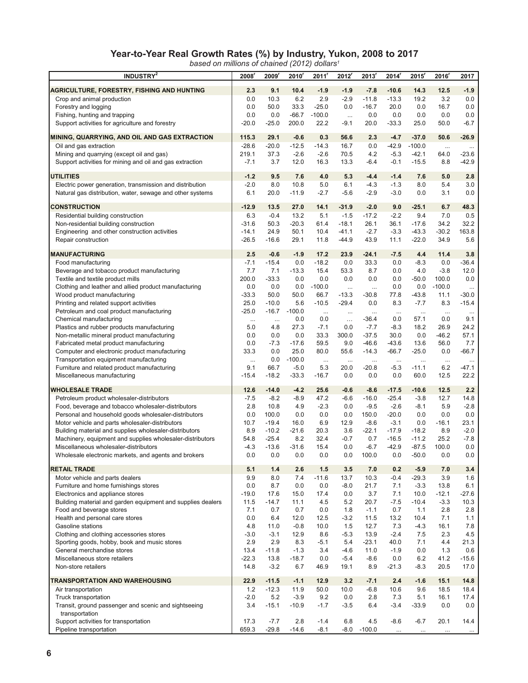### **Year-to-Year Real Growth Rates (%) by Industry, Yukon, 2008 to 2017**

*based on millions of chained (2012) dollars1*

| <b>INDUSTRY</b> <sup>2</sup>                                                                            | 2008             | 2009               | 2010'             | 2011'             | 2012                 | 2013'            | 2014              | 2015'               | 2016'             | 2017            |
|---------------------------------------------------------------------------------------------------------|------------------|--------------------|-------------------|-------------------|----------------------|------------------|-------------------|---------------------|-------------------|-----------------|
|                                                                                                         | 2.3              | 9.1                | 10.4              | $-1.9$            | $-1.9$               | $-7.8$           | $-10.6$           | 14.3                | 12.5              | $-1.9$          |
| <b>AGRICULTURE, FORESTRY, FISHING AND HUNTING</b><br>Crop and animal production                         | 0.0              | 10.3               | 6.2               | 2.9               | $-2.9$               | $-11.8$          | $-13.3$           | 19.2                | 3.2               | 0.0             |
| Forestry and logging                                                                                    | 0.0              | 50.0               | 33.3              | $-25.0$           | 0.0                  | $-16.7$          | 20.0              | 0.0                 | 16.7              | 0.0             |
| Fishing, hunting and trapping                                                                           | 0.0              | 0.0                | $-66.7$           | $-100.0$          | $\ldots$             | 0.0              | 0.0               | 0.0                 | 0.0               | 0.0             |
| Support activities for agriculture and forestry                                                         | $-20.0$          | $-25.0$            | 200.0             | 22.2              | $-9.1$               | 20.0             | $-33.3$           | 25.0                | 50.0              | $-6.7$          |
|                                                                                                         |                  |                    |                   |                   |                      |                  |                   |                     |                   |                 |
| MINING, QUARRYING, AND OIL AND GAS EXTRACTION                                                           | 115.3            | 29.1               | $-0.6$            | 0.3               | 56.6                 | 2.3              | $-4.7$            | $-37.0$             | 50.6              | $-26.9$         |
| Oil and gas extraction<br>Mining and quarrying (except oil and gas)                                     | $-28.6$<br>219.1 | $-20.0$<br>37.3    | $-12.5$<br>$-2.6$ | $-14.3$<br>$-2.6$ | 16.7<br>70.5         | 0.0<br>4.2       | -42.9<br>$-5.3$   | $-100.0$<br>$-42.1$ | $\ddotsc$<br>64.0 | $-23.6$         |
| Support activities for mining and oil and gas extraction                                                | $-7.1$           | 3.7                | 12.0              | 16.3              | 13.3                 | $-6.4$           | $-0.1$            | $-15.5$             | 8.8               | $-42.9$         |
|                                                                                                         |                  |                    |                   |                   |                      |                  |                   |                     |                   |                 |
| <b>UTILITIES</b>                                                                                        | $-1.2$           | 9.5                | 7.6               | 4.0               | 5.3                  | $-4.4$           | $-1.4$            | 7.6                 | 5.0               | 2.8             |
| Electric power generation, transmission and distribution                                                | $-2.0$           | 8.0                | 10.8              | 5.0               | 6.1                  | $-4.3$           | $-1.3$            | 8.0                 | 5.4               | 3.0             |
| Natural gas distribution, water, sewage and other systems                                               | 6.1              | 20.0               | $-11.9$           | $-2.7$            | $-5.6$               | $-2.9$           | $-3.0$            | 0.0                 | 3.1               | 0.0             |
| <b>CONSTRUCTION</b>                                                                                     | $-12.9$          | 13.5               | 27.0              | 14.1              | $-31.9$              | $-2.0$           | 9.0               | $-25.1$             | 6.7               | 48.3            |
| Residential building construction                                                                       | 6.3              | $-0.4$             | 13.2              | 5.1               | $-1.5$               | $-17.2$          | $-2.2$            | 9.4                 | 7.0               | 0.5             |
| Non-residential building construction                                                                   | $-31.6$          | 50.3               | $-20.3$           | 61.4              | $-18.1$              | 26.1             | 36.1              | $-17.6$             | 34.2              | 32.2            |
| Engineering and other construction activities                                                           | $-14.1$          | 24.9               | 50.1              | 10.4              | $-41.1$              | $-2.7$           | $-3.3$            | $-43.3$             | $-30.2$           | 163.8           |
| Repair construction                                                                                     | $-26.5$          | -16.6              | 29.1              | 11.8              | $-44.9$              | 43.9             | 11.1              | $-22.0$             | 34.9              | 5.6             |
| <b>MANUFACTURING</b>                                                                                    | 2.5              | $-0.6$             | $-1.9$            | 17.2              | 23.9                 | $-24.1$          | $-7.5$            | 4.4                 | 11.4              | 3.8             |
| Food manufacturing                                                                                      | $-7.1$           | $-15.4$            | 0.0               | $-18.2$           | 0.0                  | 33.3             | 0.0               | $-8.3$              | 0.0               | $-36.4$         |
| Beverage and tobacco product manufacturing                                                              | 7.7              | 7.1                | $-13.3$           | 15.4              | 53.3                 | 8.7              | 0.0               | 4.0                 | $-3.8$            | 12.0            |
| Textile and textile product mills                                                                       | 200.0            | $-33.3$            | 0.0               | 0.0               | 0.0                  | 0.0              | 0.0               | $-50.0$             | 100.0             | 0.0             |
| Clothing and leather and allied product manufacturing                                                   | 0.0              | 0.0                | 0.0               | $-100.0$          | $\ddotsc$            |                  | 0.0               | 0.0                 | $-100.0$          | $\cdots$        |
| Wood product manufacturing                                                                              | $-33.3$          | 50.0               | 50.0              | 66.7              | $-13.3$              | $-30.8$          | 77.8              | $-43.8$             | 11.1              | $-30.0$         |
| Printing and related support activities<br>Petroleum and coal product manufacturing                     | 25.0<br>$-25.0$  | $-10.0$<br>$-16.7$ | 5.6<br>$-100.0$   | $-10.5$           | $-29.4$              | 0.0              | 8.3               | $-7.7$              | 8.3               | $-15.4$         |
| Chemical manufacturing                                                                                  | $\cdots$         | $\cdots$           | 0.0               | $\ldots$<br>0.0   | $\cdots$<br>$\ldots$ | <br>-36.4        | $\cdots$<br>0.0   | $\ddotsc$<br>57.1   | $\ddotsc$<br>0.0  | $\cdots$<br>9.1 |
| Plastics and rubber products manufacturing                                                              | 5.0              | 4.8                | 27.3              | $-7.1$            | 0.0                  | $-7.7$           | $-8.3$            | 18.2                | 26.9              | 24.2            |
| Non-metallic mineral product manufacturing                                                              | 0.0              | 0.0                | 0.0               | 33.3              | 300.0                | $-37.5$          | 30.0              | 0.0                 | $-46.2$           | 57.1            |
| Fabricated metal product manufacturing                                                                  | 0.0              | $-7.3$             | $-17.6$           | 59.5              | 9.0                  | $-46.6$          | $-43.6$           | 13.6                | 56.0              | 7.7             |
| Computer and electronic product manufacturing                                                           | 33.3             | 0.0                | 25.0              | 80.0              | 55.6                 | $-14.3$          | $-66.7$           | $-25.0$             | 0.0               | $-66.7$         |
| Transportation equipment manufacturing                                                                  | $\cdots$         | 0.0                | $-100.0$          | $\cdots$          | $\ldots$             | $\ldots$         | $\cdots$          | $\cdots$            | $\cdots$          | $\cdots$        |
| Furniture and related product manufacturing                                                             | 9.1              | 66.7               | $-5.0$            | 5.3               | 20.0                 | -20.8            | $-5.3$            | $-11.1$             | 6.2               | -47.1           |
| Miscellaneous manufacturing                                                                             | $-15.4$          | $-18.2$            | $-33.3$           | $-16.7$           | 0.0                  | 0.0              | 0.0               | 60.0                | 12.5              | 22.2            |
| <b>WHOLESALE TRADE</b>                                                                                  | 12.6             | $-14.0$            | $-4.2$            | 25.6              | $-0.6$               | $-8.6$           | $-17.5$           | $-10.6$             | 12.5              | 2.2             |
| Petroleum product wholesaler-distributors                                                               | $-7.5$           | $-8.2$             | $-8.9$            | 47.2              | $-6.6$               | $-16.0$          | $-25.4$           | $-3.8$              | 12.7              | 14.8            |
| Food, beverage and tobacco wholesaler-distributors                                                      | 2.8              | 10.8               | 4.9               | $-2.3$            | 0.0                  | $-9.5$           | $-2.6$            | $-8.1$              | 5.9               | $-2.8$          |
| Personal and household goods wholesaler-distributors<br>Motor vehicle and parts wholesaler-distributors | 0.0              | 100.0<br>$-19.4$   | 0.0               | 0.0               | 0.0                  | 150.0<br>$-8.6$  | $-20.0$<br>$-3.1$ | 0.0<br>0.0          | 0.0               | 0.0             |
| Building material and supplies wholesaler-distributors                                                  | 10.7<br>8.9      | $-10.2$            | 16.0<br>$-21.6$   | 6.9<br>20.3       | 12.9<br>3.6          | $-22.1$          | $-17.9$           | $-18.2$             | $-16.1$<br>8.9    | 23.1<br>$-2.0$  |
| Machinery, equipment and supplies wholesaler-distributors                                               | 54.8             | $-25.4$            | 8.2               | 32.4              | $-0.7$               | 0.7              | $-16.5$           | $-11.2$             | 25.2              | $-7.8$          |
| Miscellaneous wholesaler-distributors                                                                   | $-4.3$           | $-13.6$            | $-31.6$           | 15.4              | 0.0                  | $-6.7$           | $-42.9$           | $-87.5$             | 100.0             | 0.0             |
| Wholesale electronic markets, and agents and brokers                                                    | 0.0              | 0.0                | 0.0               | 0.0               | 0.0                  | 100.0            | 0.0               | $-50.0$             | 0.0               | 0.0             |
| <b>RETAIL TRADE</b>                                                                                     | 5.1              | $1.4$              | 2.6               | 1.5               | 3.5                  | 7.0              | 0.2               | $-5.9$              | 7.0               | 3.4             |
| Motor vehicle and parts dealers                                                                         | 9.9              | 8.0                | 7.4               | $-11.6$           | 13.7                 | 10.3             | $-0.4$            | $-29.3$             | 3.9               | 1.6             |
| Furniture and home furnishings stores                                                                   | 0.0              | 8.7                | 0.0               | 0.0               | $-8.0$               | 21.7             | 7.1               | $-3.3$              | 13.8              | 6.1             |
| Electronics and appliance stores                                                                        | $-19.0$          | 17.6               | 15.0              | 17.4              | 0.0                  | 3.7              | 7.1               | 10.0                | $-12.1$           | $-27.6$         |
| Building material and garden equipment and supplies dealers                                             | 11.5             | $-14.7$            | 11.1              | 4.5               | 5.2                  | 20.7             | $-7.5$            | $-10.4$             | $-3.3$            | 10.3            |
| Food and beverage stores                                                                                | 7.1              | 0.7                | 0.7               | 0.0               | 1.8                  | $-1.1$           | 0.7               | 1.1                 | 2.8               | 2.8             |
| Health and personal care stores                                                                         | 0.0              | 6.4                | 12.0              | 12.5              | $-3.2$               | 11.5             | 13.2              | 10.4                | 7.1               | 1.1             |
| Gasoline stations                                                                                       | 4.8              | 11.0               | $-0.8$            | 10.0              | 1.5                  | 12.7             | 7.3               | $-4.3$              | 16.1              | 7.8             |
| Clothing and clothing accessories stores<br>Sporting goods, hobby, book and music stores                | $-3.0$<br>2.9    | $-3.1$<br>2.9      | 12.9<br>8.3       | 8.6<br>$-5.1$     | $-5.3$<br>5.4        | 13.9<br>$-23.1$  | $-2.4$<br>40.0    | 7.5<br>7.1          | 2.3<br>4.4        | 4.5<br>21.3     |
| General merchandise stores                                                                              | 13.4             | $-11.8$            | $-1.3$            | 3.4               | $-4.6$               | 11.0             | $-1.9$            | 0.0                 | 1.3               | 0.6             |
| Miscellaneous store retailers                                                                           | $-22.3$          | 13.8               | $-18.7$           | 0.0               | $-5.4$               | $-8.6$           | 0.0               | 6.2                 | 41.2              | $-15.6$         |
| Non-store retailers                                                                                     | 14.8             | $-3.2$             | 6.7               | 46.9              | 19.1                 | 8.9              | $-21.3$           | -8.3                | 20.5              | 17.0            |
|                                                                                                         |                  |                    | $-1.1$            |                   |                      |                  |                   |                     |                   |                 |
| TRANSPORTATION AND WAREHOUSING<br>Air transportation                                                    | 22.9<br>1.2      | $-11.5$<br>$-12.3$ | 11.9              | 12.9<br>50.0      | 3.2<br>10.0          | $-7.1$<br>$-6.8$ | 2.4<br>10.6       | $-1.6$<br>9.6       | 15.1<br>18.5      | 14.8<br>18.4    |
| Truck transportation                                                                                    | $-2.0$           | 5.2                | $-3.9$            | 9.2               | 0.0                  | 2.8              | 7.3               | 5.1                 | 16.1              | 17.4            |
| Transit, ground passenger and scenic and sightseeing                                                    | 3.4              | $-15.1$            | $-10.9$           | $-1.7$            | $-3.5$               | 6.4              | $-3.4$            | $-33.9$             | 0.0               | 0.0             |
| transportation                                                                                          |                  |                    |                   |                   |                      |                  |                   |                     |                   |                 |
| Support activities for transportation                                                                   | 17.3             | $-7.7$             | 2.8               | $-1.4$            | 6.8                  | 4.5              | $-8.6$            | $-6.7$              | 20.1              | 14.4            |
| Pipeline transportation                                                                                 | 659.3            | $-29.8$            | $-14.6$           | $-8.1$            | $-8.0$               | $-100.0$         | $\cdots$          |                     |                   |                 |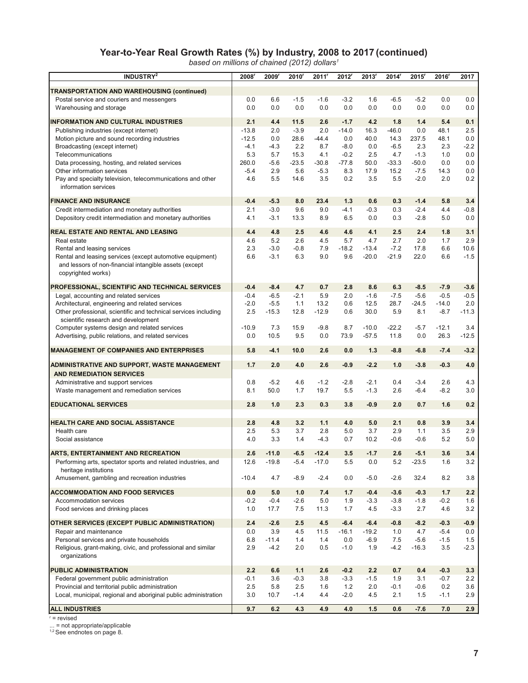#### **Year-to-Year Real Growth Rates (%) by Industry, 2008 to 2017 (continued)**

*based on millions of chained (2012) dollars1*

| INDUSTRY <sup>2</sup>                                                                            | 2008             | 2009             | $2010$ <sup>r</sup> | 2011'      | 2012              | 2013'          | 2014           | 2015             | 2016'            | 2017             |
|--------------------------------------------------------------------------------------------------|------------------|------------------|---------------------|------------|-------------------|----------------|----------------|------------------|------------------|------------------|
| <b>TRANSPORTATION AND WAREHOUSING (continued)</b>                                                |                  |                  |                     |            |                   |                |                |                  |                  |                  |
| Postal service and couriers and messengers                                                       | 0.0              | 6.6              | $-1.5$              | $-1.6$     | $-3.2$            | 1.6            | $-6.5$         | $-5.2$           | 0.0              | 0.0              |
| Warehousing and storage                                                                          | 0.0              | 0.0              | 0.0                 | 0.0        | 0.0               | 0.0            | 0.0            | 0.0              | 0.0              | 0.0              |
| <b>INFORMATION AND CULTURAL INDUSTRIES</b>                                                       | 2.1              |                  |                     |            |                   |                |                |                  |                  |                  |
| Publishing industries (except internet)                                                          | $-13.8$          | 4.4<br>2.0       | 11.5<br>$-3.9$      | 2.6<br>2.0 | $-1.7$<br>$-14.0$ | 4.2<br>16.3    | 1.8<br>$-46.0$ | 1.4<br>0.0       | 5.4<br>48.1      | 0.1<br>2.5       |
| Motion picture and sound recording industries                                                    | $-12.5$          | 0.0              | 28.6                | $-44.4$    | 0.0               | 40.0           | 14.3           | 237.5            | 48.1             | 0.0              |
| Broadcasting (except internet)                                                                   | $-4.1$           | $-4.3$           | 2.2                 | 8.7        | $-8.0$            | 0.0            | $-6.5$         | 2.3              | 2.3              | $-2.2$           |
| Telecommunications                                                                               | 5.3              | 5.7              | 15.3                | 4.1        | $-0.2$            | 2.5            | 4.7            | $-1.3$           | 1.0              | 0.0              |
| Data processing, hosting, and related services                                                   | 260.0            | $-5.6$           | $-23.5$             | $-30.8$    | $-77.8$           | 50.0           | $-33.3$        | $-50.0$          | 0.0              | 0.0              |
| Other information services                                                                       | $-5.4$           | 2.9              | 5.6                 | $-5.3$     | 8.3               | 17.9           | 15.2           | $-7.5$           | 14.3             | 0.0              |
| Pay and specialty television, telecommunications and other                                       | 4.6              | 5.5              | 14.6                | 3.5        | 0.2               | 3.5            | 5.5            | $-2.0$           | 2.0              | 0.2              |
| information services                                                                             |                  |                  |                     |            |                   |                |                |                  |                  |                  |
| <b>FINANCE AND INSURANCE</b>                                                                     | $-0.4$           | $-5.3$           | 8.0                 | 23.4       | 1.3               | 0.6            | 0.3            | $-1.4$           | 5.8              | 3.4              |
| Credit intermediation and monetary authorities                                                   | 2.1              | $-3.0$           | 9.6                 | 9.0        | $-4.1$            | $-0.3$         | 0.3            | $-2.4$           | 4.4              | $-0.8$           |
| Depository credit intermediation and monetary authorities                                        | 4.1              | $-3.1$           | 13.3                | 8.9        | 6.5               | 0.0            | 0.3            | $-2.8$           | 5.0              | 0.0              |
|                                                                                                  |                  |                  |                     |            |                   |                |                |                  |                  |                  |
| <b>REAL ESTATE AND RENTAL AND LEASING</b><br>Real estate                                         | 4.4              | 4.8              | 2.5                 | 4.6        | 4.6               | 4.1            | 2.5            | 2.4              | 1.8              | 3.1              |
| Rental and leasing services                                                                      | 4.6<br>2.3       | 5.2<br>$-3.0$    | 2.6<br>$-0.8$       | 4.5<br>7.9 | 5.7<br>$-18.2$    | 4.7<br>$-13.4$ | 2.7<br>$-7.2$  | 2.0<br>17.8      | 1.7<br>6.6       | 2.9<br>10.6      |
| Rental and leasing services (except automotive equipment)                                        | 6.6              | $-3.1$           | 6.3                 | 9.0        | 9.6               | $-20.0$        | $-21.9$        | 22.0             | 6.6              | $-1.5$           |
| and lessors of non-financial intangible assets (except                                           |                  |                  |                     |            |                   |                |                |                  |                  |                  |
| copyrighted works)                                                                               |                  |                  |                     |            |                   |                |                |                  |                  |                  |
|                                                                                                  |                  |                  |                     |            |                   |                |                |                  |                  |                  |
| <b>PROFESSIONAL, SCIENTIFIC AND TECHNICAL SERVICES</b><br>Legal, accounting and related services | $-0.4$<br>$-0.4$ | $-8.4$<br>$-6.5$ | 4.7<br>$-2.1$       | 0.7<br>5.9 | 2.8<br>2.0        | 8.6<br>$-1.6$  | 6.3<br>$-7.5$  | $-8.5$<br>$-5.6$ | $-7.9$<br>$-0.5$ | $-3.6$<br>$-0.5$ |
| Architectural, engineering and related services                                                  | $-2.0$           | $-5.5$           | 1.1                 | 13.2       | 0.6               | 12.5           | 28.7           | -24.5            | $-14.0$          | 2.0              |
| Other professional, scientific and technical services including                                  | 2.5              | $-15.3$          | 12.8                | $-12.9$    | 0.6               | 30.0           | 5.9            | 8.1              | $-8.7$           | $-11.3$          |
| scientific research and development                                                              |                  |                  |                     |            |                   |                |                |                  |                  |                  |
| Computer systems design and related services                                                     | $-10.9$          | 7.3              | 15.9                | $-9.8$     | 8.7               | $-10.0$        | $-22.2$        | $-5.7$           | $-12.1$          | 3.4              |
| Advertising, public relations, and related services                                              | 0.0              | 10.5             | 9.5                 | 0.0        | 73.9              | $-57.5$        | 11.8           | 0.0              | 26.3             | $-12.5$          |
| <b>MANAGEMENT OF COMPANIES AND ENTERPRISES</b>                                                   | 5.8              | $-4.1$           | 10.0                | 2.6        | 0.0               | 1.3            | $-8.8$         | $-6.8$           | $-7.4$           | $-3.2$           |
|                                                                                                  |                  |                  |                     |            |                   |                |                |                  |                  |                  |
| ADMINISTRATIVE AND SUPPORT, WASTE MANAGEMENT                                                     | 1.7              | 2.0              | 4.0                 | 2.6        | $-0.9$            | $-2.2$         | 1.0            | $-3.8$           | $-0.3$           | 4.0              |
| <b>AND REMEDIATION SERVICES</b>                                                                  |                  |                  |                     |            |                   |                |                |                  |                  |                  |
| Administrative and support services                                                              | 0.8              | $-5.2$           | 4.6                 | $-1.2$     | $-2.8$            | $-2.1$         | 0.4            | $-3.4$           | 2.6              | 4.3              |
| Waste management and remediation services                                                        | 8.1              | 50.0             | 1.7                 | 19.7       | 5.5               | $-1.3$         | 2.6            | $-6.4$           | $-8.2$           | 3.0              |
| <b>EDUCATIONAL SERVICES</b>                                                                      | 2.8              | 1.0              | 2.3                 | 0.3        | 3.8               | $-0.9$         | 2.0            | 0.7              | 1.6              | 0.2              |
|                                                                                                  |                  |                  |                     |            |                   |                |                |                  |                  |                  |
| <b>HEALTH CARE AND SOCIAL ASSISTANCE</b><br>Health care                                          | 2.8<br>2.5       | 4.8<br>5.3       | 3.2<br>3.7          | 1.1<br>2.8 | 4.0<br>5.0        | 5.0<br>3.7     | 2.1<br>2.9     | 0.8<br>1.1       | 3.9<br>3.5       | 3.4<br>2.9       |
| Social assistance                                                                                | 4.0              | 3.3              | 1.4                 | $-4.3$     | 0.7               | 10.2           | $-0.6$         | $-0.6$           | 5.2              | 5.0              |
|                                                                                                  |                  |                  |                     |            |                   |                |                |                  |                  |                  |
| <b>ARTS, ENTERTAINMENT AND RECREATION</b>                                                        | 2.6              | $-11.0$          | $-6.5$              | $-12.4$    | 3.5               | $-1.7$         | 2.6            | $-5.1$           | 3.6              | 3.4              |
| Performing arts, spectator sports and related industries, and                                    | 12.6             | $-19.8$          | -5.4                | $-17.0$    | 5.5               | 0.0            | 5.2            | $-23.5$          | 1.6              | 3.2              |
| heritage institutions<br>Amusement, gambling and recreation industries                           | $-10.4$          | 4.7              | $-8.9$              | $-2.4$     | 0.0               | $-5.0$         | $-2.6$         | 32.4             | 8.2              | 3.8              |
|                                                                                                  |                  |                  |                     |            |                   |                |                |                  |                  |                  |
| <b>ACCOMMODATION AND FOOD SERVICES</b>                                                           | 0.0              | 5.0              | 1.0                 | 7.4        | 1.7               | $-0.4$         | $-3.6$         | $-0.3$           | 1.7              | 2.2              |
| Accommodation services                                                                           | $-0.2$           | $-0.4$           | $-2.6$              | 5.0        | 1.9               | $-3.3$         | $-3.8$         | $-1.8$           | $-0.2$           | 1.6              |
| Food services and drinking places                                                                | 1.0              | 17.7             | 7.5                 | 11.3       | 1.7               | 4.5            | $-3.3$         | 2.7              | 4.6              | 3.2              |
| OTHER SERVICES (EXCEPT PUBLIC ADMINISTRATION)                                                    | 2.4              | $-2.6$           | 2.5                 | 4.5        | $-6.4$            | $-6.4$         | $-0.8$         | $-8.2$           | $-0.3$           | $-0.9$           |
| Repair and maintenance                                                                           | 0.0              | 3.9              | 4.5                 | 11.5       | $-16.1$           | $-19.2$        | 1.0            | 4.7              | $-5.4$           | 0.0              |
| Personal services and private households                                                         | 6.8              | $-11.4$          | 1.4                 | 1.4        | 0.0               | $-6.9$         | 7.5            | $-5.6$           | $-1.5$           | 1.5              |
| Religious, grant-making, civic, and professional and similar                                     | 2.9              | $-4.2$           | 2.0                 | 0.5        | $-1.0$            | 1.9            | $-4.2$         | $-16.3$          | 3.5              | -2.3             |
| organizations                                                                                    |                  |                  |                     |            |                   |                |                |                  |                  |                  |
| <b>PUBLIC ADMINISTRATION</b>                                                                     | 2.2              | 6.6              | 1.1                 | 2.6        | $-0.2$            | 2.2            | 0.7            | 0.4              | $-0.3$           | 3.3              |
| Federal government public administration                                                         | $-0.1$           | 3.6              | $-0.3$              | 3.8        | $-3.3$            | $-1.5$         | 1.9            | 3.1              | $-0.7$           | 2.2              |
| Provincial and territorial public administration                                                 | 2.5              | 5.8              | 2.5                 | 1.6        | $1.2$             | 2.0            | $-0.1$         | $-0.6$           | 0.2              | 3.6              |
| Local, municipal, regional and aboriginal public administration                                  | 3.0              | 10.7             | $-1.4$              | 4.4        | $-2.0$            | 4.5            | 2.1            | 1.5              | $-1.1$           | 2.9              |
| <b>ALL INDUSTRIES</b>                                                                            | 9.7              | 6.2              | 4.3                 | 4.9        | 4.0               | 1.5            | 0.6            | $-7.6$           | 7.0              | 2.9              |

r = revised

... = not appropriate/applicable<br><sup>1,2</sup> See endnotes on page 8.